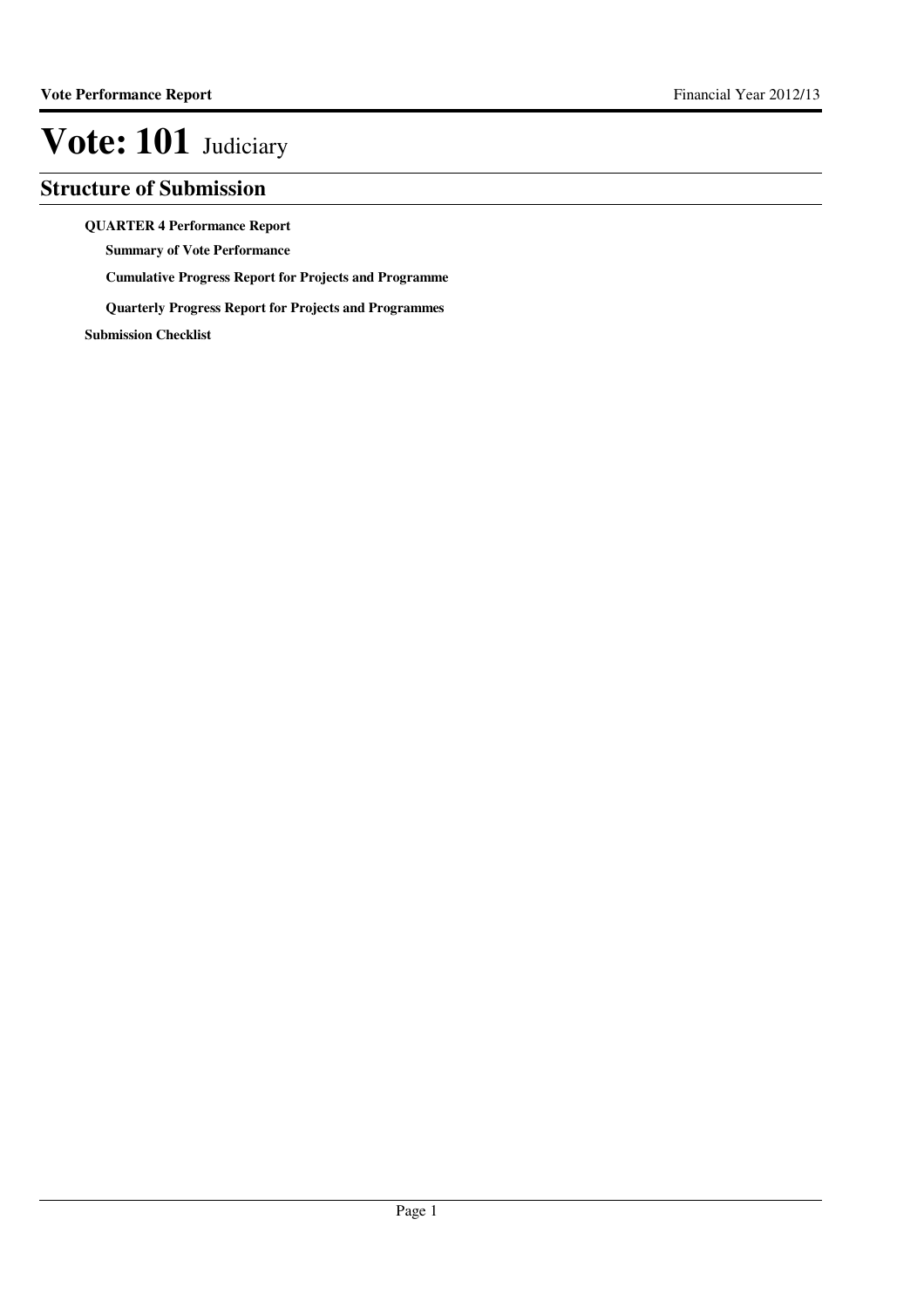### **Structure of Submission**

**QUARTER 4 Performance Report**

**Summary of Vote Performance**

**Cumulative Progress Report for Projects and Programme**

**Quarterly Progress Report for Projects and Programmes**

**Submission Checklist**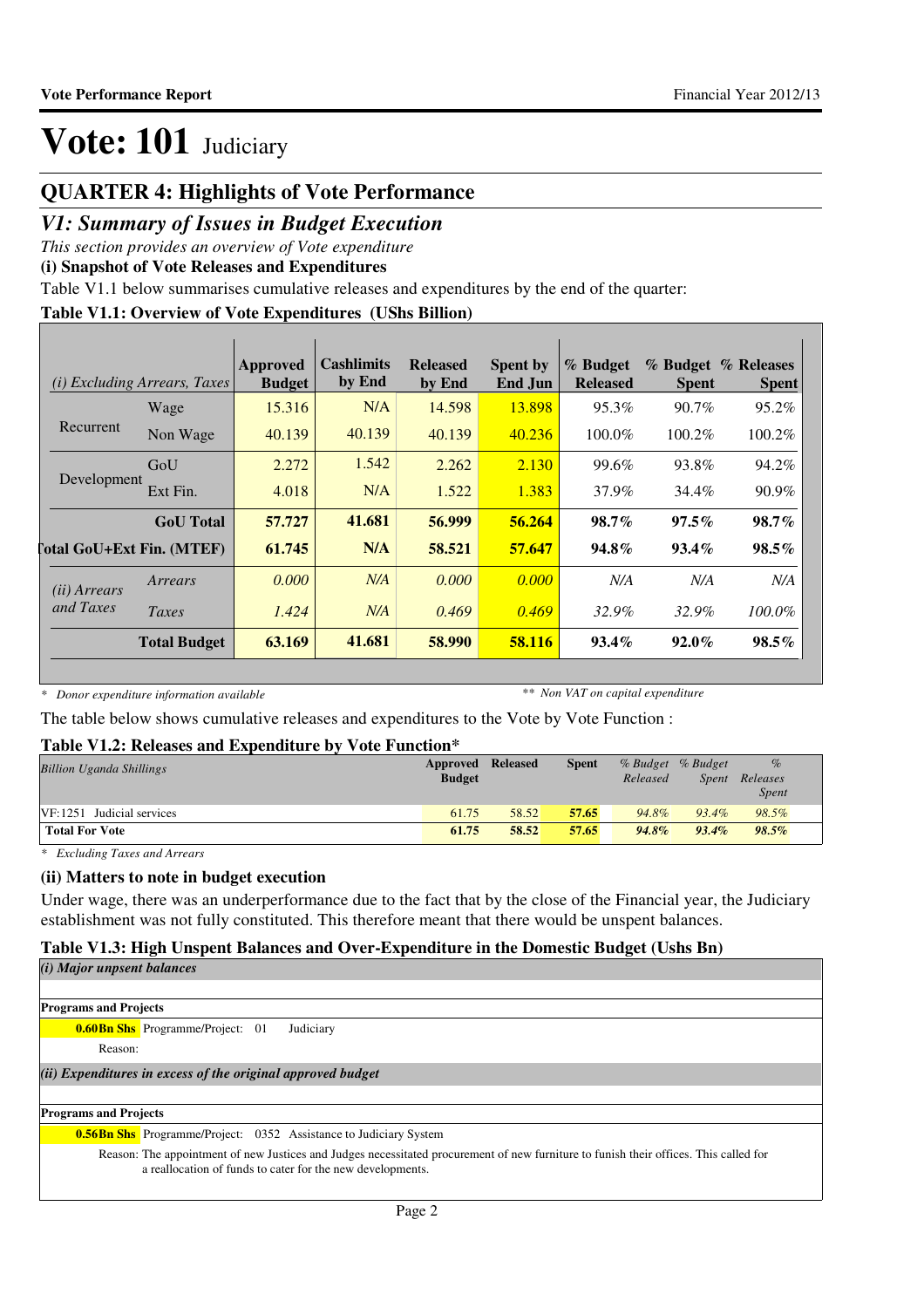### **QUARTER 4: Highlights of Vote Performance**

### *V1: Summary of Issues in Budget Execution*

*This section provides an overview of Vote expenditure*

**(i) Snapshot of Vote Releases and Expenditures**

Table V1.1 below summarises cumulative releases and expenditures by the end of the quarter:

#### **Table V1.1: Overview of Vote Expenditures (UShs Billion)**

|                       | <i>(i)</i> Excluding Arrears, Taxes | Approved<br><b>Budget</b> | Cashlimits<br>by End | <b>Released</b><br>by End | <b>Spent by</b><br>End Jun | % Budget<br><b>Released</b> | % Budget<br><b>Spent</b> | % Releases<br><b>Spent</b> |
|-----------------------|-------------------------------------|---------------------------|----------------------|---------------------------|----------------------------|-----------------------------|--------------------------|----------------------------|
|                       | Wage                                | 15.316                    | N/A                  | 14.598                    | 13.898                     | 95.3%                       | $90.7\%$                 | 95.2%                      |
| Recurrent             | Non Wage                            | 40.139                    | 40.139               | 40.139                    | 40.236                     | 100.0%                      | $100.2\%$                | 100.2%                     |
|                       | GoU                                 | 2.272                     | 1.542                | 2.262                     | 2.130                      | 99.6%                       | 93.8%                    | 94.2%                      |
| Development           | Ext Fin.                            | 4.018                     | N/A                  | 1.522                     | 1.383                      | 37.9%                       | 34.4%                    | 90.9%                      |
|                       | <b>GoU</b> Total                    | 57.727                    | 41.681               | 56.999                    | 56.264                     | 98.7%                       | $97.5\%$                 | $98.7\%$                   |
|                       | <b>Total GoU+Ext Fin. (MTEF)</b>    | 61.745                    | N/A                  | 58.521                    | 57.647                     | 94.8%                       | $93.4\%$                 | $98.5\%$                   |
| ( <i>ii</i> ) Arrears | Arrears                             | 0.000                     | N/A                  | 0.000                     | 0.000                      | N/A                         | N/A                      | N/A                        |
| and Taxes             | Taxes                               | 1.424                     | N/A                  | 0.469                     | 0.469                      | 32.9%                       | 32.9%                    | 100.0%                     |
|                       | <b>Total Budget</b>                 | 63.169                    | 41.681               | 58.990                    | 58.116                     | $93.4\%$                    | $92.0\%$                 | $98.5\%$                   |

*\* Donor expenditure information available*

*\*\* Non VAT on capital expenditure*

The table below shows cumulative releases and expenditures to the Vote by Vote Function :

#### **Table V1.2: Releases and Expenditure by Vote Function\***

| <b>Billion Uganda Shillings</b> | <b>Approved Released</b><br><b>Budget</b> |       | <b>Spent</b> | % Budget % Budget<br>Released | Spent    | $\%$<br>Releases<br><b>Spent</b> |
|---------------------------------|-------------------------------------------|-------|--------------|-------------------------------|----------|----------------------------------|
| $VF: 1251$ Judicial services    | 61.75                                     | 58.52 | 57.65        | 94.8%                         | $93.4\%$ | 98.5%                            |
| <b>Total For Vote</b>           | 61.75                                     | 58.52 | 57.65        | $94.8\%$                      | $93.4\%$ | 98.5%                            |

*\* Excluding Taxes and Arrears*

#### **(ii) Matters to note in budget execution**

Under wage, there was an underperformance due to the fact that by the close of the Financial year, the Judiciary establishment was not fully constituted. This therefore meant that there would be unspent balances.

#### **Table V1.3: High Unspent Balances and Over-Expenditure in the Domestic Budget (Ushs Bn)**

*(i) Major unpsent balances*

| <b>Programs and Projects</b> |                                                                                                                                                                                                     |
|------------------------------|-----------------------------------------------------------------------------------------------------------------------------------------------------------------------------------------------------|
|                              | Judiciary<br><b>0.60Bn Shs</b> Programme/Project: 01                                                                                                                                                |
| Reason:                      |                                                                                                                                                                                                     |
|                              | (ii) Expenditures in excess of the original approved budget                                                                                                                                         |
|                              |                                                                                                                                                                                                     |
| <b>Programs and Projects</b> |                                                                                                                                                                                                     |
|                              | <b>0.56Bn Shs</b> Programme/Project: 0352 Assistance to Judiciary System                                                                                                                            |
|                              | Reason: The appointment of new Justices and Judges necessitated procurement of new furniture to funish their offices. This called for<br>a reallocation of funds to cater for the new developments. |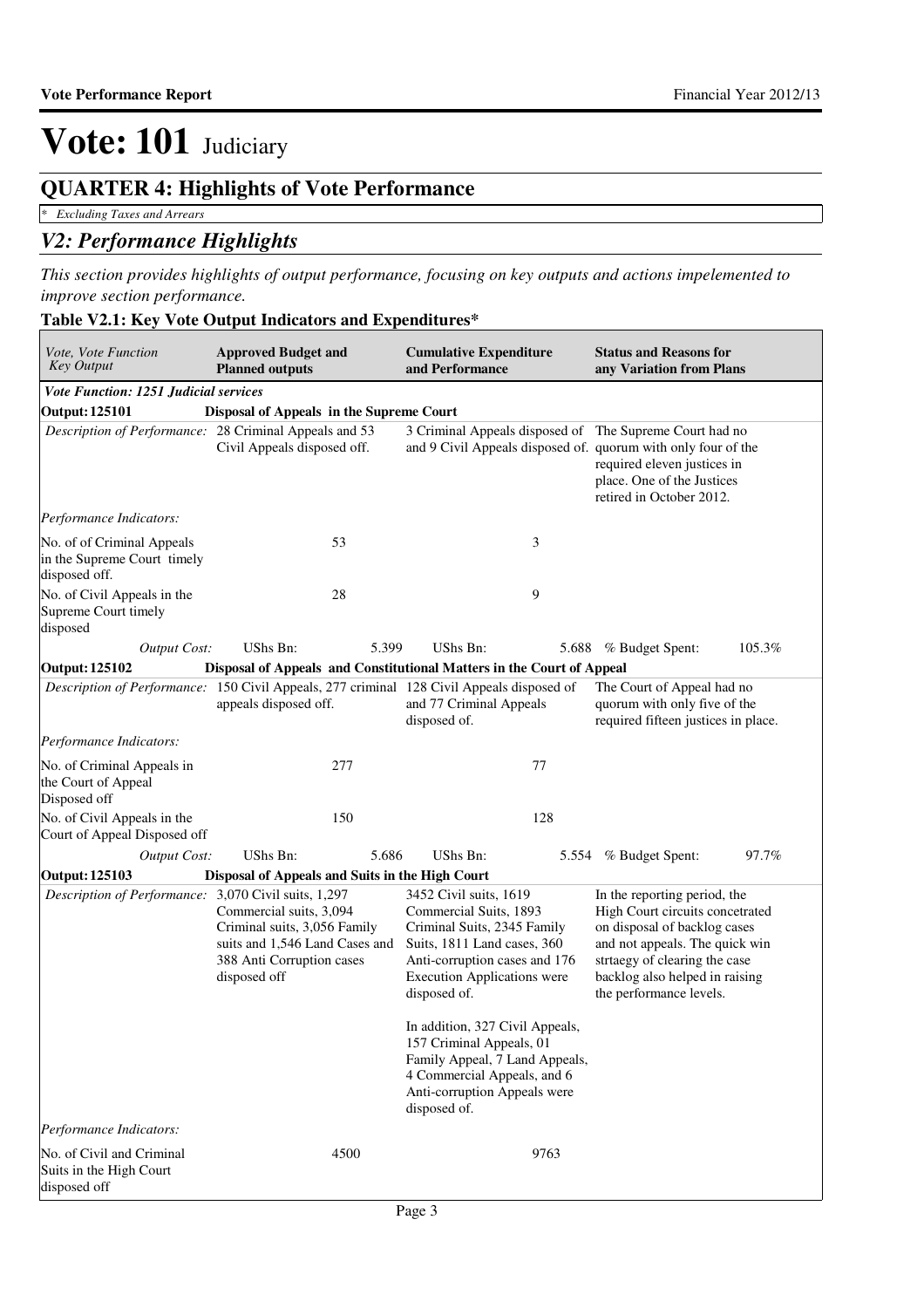### **QUARTER 4: Highlights of Vote Performance**

*\* Excluding Taxes and Arrears*

#### *V2: Performance Highlights*

*This section provides highlights of output performance, focusing on key outputs and actions impelemented to improve section performance.*

### **Table V2.1: Key Vote Output Indicators and Expenditures\***

| Vote, Vote Function<br><b>Key Output</b>                                                  | <b>Approved Budget and</b><br><b>Planned outputs</b>                                                                                   | and Performance                                                                                                                                                                                       | <b>Cumulative Expenditure</b> |                                                                                                                                                                                                                                 | <b>Status and Reasons for</b><br>any Variation from Plans |
|-------------------------------------------------------------------------------------------|----------------------------------------------------------------------------------------------------------------------------------------|-------------------------------------------------------------------------------------------------------------------------------------------------------------------------------------------------------|-------------------------------|---------------------------------------------------------------------------------------------------------------------------------------------------------------------------------------------------------------------------------|-----------------------------------------------------------|
| Vote Function: 1251 Judicial services                                                     |                                                                                                                                        |                                                                                                                                                                                                       |                               |                                                                                                                                                                                                                                 |                                                           |
| <b>Output: 125101</b>                                                                     | Disposal of Appeals in the Supreme Court                                                                                               |                                                                                                                                                                                                       |                               |                                                                                                                                                                                                                                 |                                                           |
| Description of Performance: 28 Criminal Appeals and 53                                    | Civil Appeals disposed off.                                                                                                            |                                                                                                                                                                                                       |                               | 3 Criminal Appeals disposed of The Supreme Court had no<br>and 9 Civil Appeals disposed of. quorum with only four of the<br>required eleven justices in<br>place. One of the Justices<br>retired in October 2012.               |                                                           |
| Performance Indicators:                                                                   |                                                                                                                                        |                                                                                                                                                                                                       |                               |                                                                                                                                                                                                                                 |                                                           |
| No. of of Criminal Appeals<br>in the Supreme Court timely<br>disposed off.                | 53                                                                                                                                     |                                                                                                                                                                                                       | 3                             |                                                                                                                                                                                                                                 |                                                           |
| No. of Civil Appeals in the<br>Supreme Court timely<br>disposed                           | 28                                                                                                                                     |                                                                                                                                                                                                       | 9                             |                                                                                                                                                                                                                                 |                                                           |
| <b>Output Cost:</b>                                                                       | UShs Bn:                                                                                                                               | 5.399<br>UShs Bn:                                                                                                                                                                                     | 5.688                         | % Budget Spent:                                                                                                                                                                                                                 | 105.3%                                                    |
| Output: 125102                                                                            | Disposal of Appeals and Constitutional Matters in the Court of Appeal                                                                  |                                                                                                                                                                                                       |                               |                                                                                                                                                                                                                                 |                                                           |
| Description of Performance: 150 Civil Appeals, 277 criminal 128 Civil Appeals disposed of | appeals disposed off.                                                                                                                  | and 77 Criminal Appeals<br>disposed of.                                                                                                                                                               |                               | The Court of Appeal had no<br>quorum with only five of the<br>required fifteen justices in place.                                                                                                                               |                                                           |
| Performance Indicators:                                                                   |                                                                                                                                        |                                                                                                                                                                                                       |                               |                                                                                                                                                                                                                                 |                                                           |
| No. of Criminal Appeals in<br>the Court of Appeal<br>Disposed off                         | 277                                                                                                                                    |                                                                                                                                                                                                       | 77                            |                                                                                                                                                                                                                                 |                                                           |
| No. of Civil Appeals in the<br>Court of Appeal Disposed off                               | 150                                                                                                                                    |                                                                                                                                                                                                       | 128                           |                                                                                                                                                                                                                                 |                                                           |
| <b>Output Cost:</b>                                                                       | UShs Bn:                                                                                                                               | 5.686<br>UShs Bn:                                                                                                                                                                                     | 5.554                         | % Budget Spent:                                                                                                                                                                                                                 | 97.7%                                                     |
| Output: 125103                                                                            | Disposal of Appeals and Suits in the High Court                                                                                        |                                                                                                                                                                                                       |                               |                                                                                                                                                                                                                                 |                                                           |
| Description of Performance: 3,070 Civil suits, 1,297                                      | Commercial suits, 3,094<br>Criminal suits, 3,056 Family<br>suits and 1,546 Land Cases and<br>388 Anti Corruption cases<br>disposed off | 3452 Civil suits, 1619<br>Commercial Suits, 1893<br>Criminal Suits, 2345 Family<br>Suits, 1811 Land cases, 360<br>Anti-corruption cases and 176<br><b>Execution Applications were</b><br>disposed of. |                               | In the reporting period, the<br>High Court circuits concetrated<br>on disposal of backlog cases<br>and not appeals. The quick win<br>strtaegy of clearing the case<br>backlog also helped in raising<br>the performance levels. |                                                           |
|                                                                                           |                                                                                                                                        | In addition, 327 Civil Appeals,<br>157 Criminal Appeals, 01<br>Family Appeal, 7 Land Appeals,<br>4 Commercial Appeals, and 6<br>Anti-corruption Appeals were<br>disposed of.                          |                               |                                                                                                                                                                                                                                 |                                                           |
| Performance Indicators:                                                                   |                                                                                                                                        |                                                                                                                                                                                                       |                               |                                                                                                                                                                                                                                 |                                                           |
| No. of Civil and Criminal<br>Suits in the High Court<br>disposed off                      | 4500                                                                                                                                   |                                                                                                                                                                                                       | 9763                          |                                                                                                                                                                                                                                 |                                                           |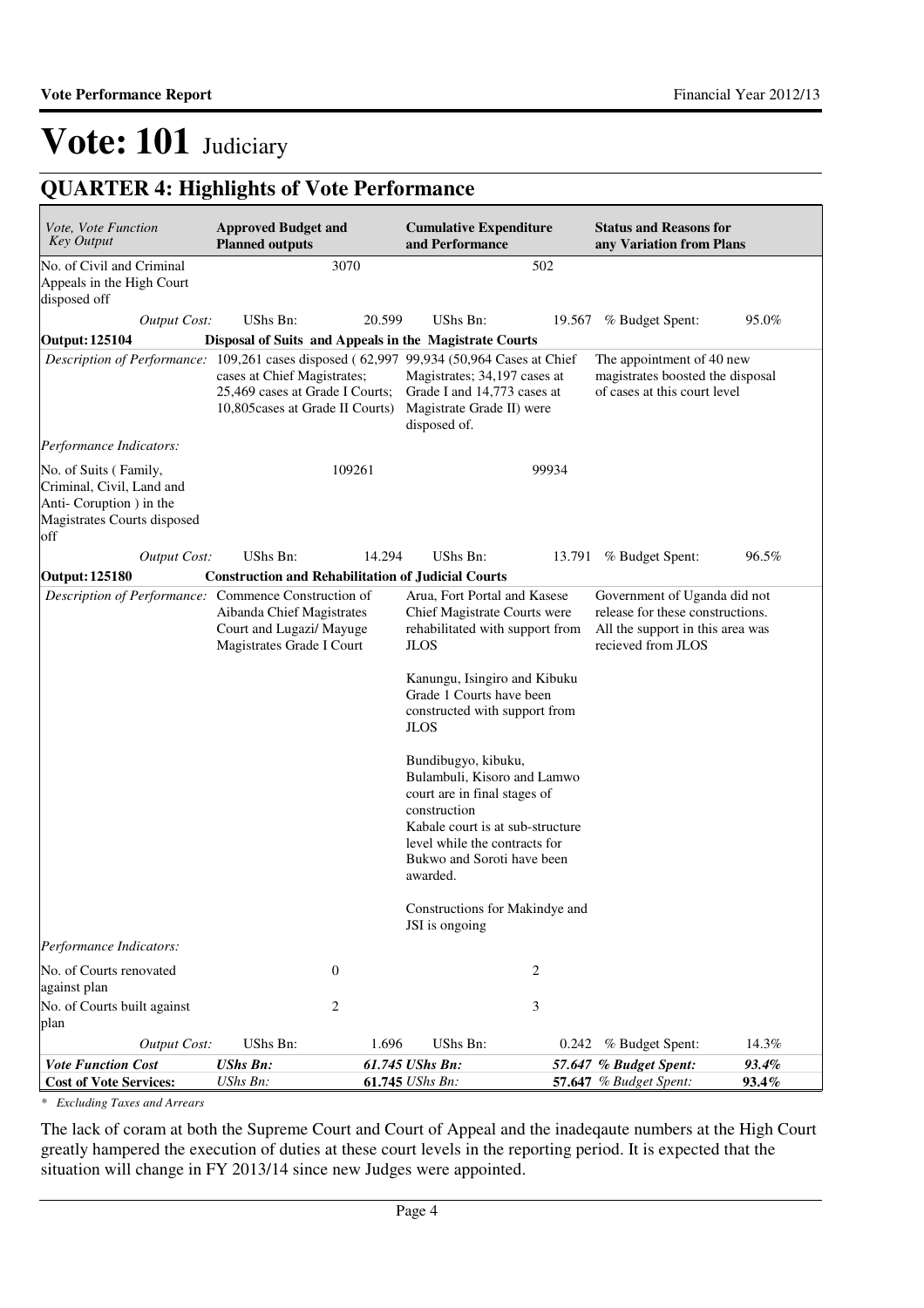## **QUARTER 4: Highlights of Vote Performance**

| Vote, Vote Function<br><b>Key Output</b>                                                                            | <b>Approved Budget and</b><br><b>Planned outputs</b>                                               | <b>Cumulative Expenditure</b><br>and Performance                                                                                                                                                                                                                                                                                                                                                                                    |        | <b>Status and Reasons for</b><br>any Variation from Plans                                                                  |                |
|---------------------------------------------------------------------------------------------------------------------|----------------------------------------------------------------------------------------------------|-------------------------------------------------------------------------------------------------------------------------------------------------------------------------------------------------------------------------------------------------------------------------------------------------------------------------------------------------------------------------------------------------------------------------------------|--------|----------------------------------------------------------------------------------------------------------------------------|----------------|
| No. of Civil and Criminal<br>Appeals in the High Court<br>disposed off                                              | 3070                                                                                               |                                                                                                                                                                                                                                                                                                                                                                                                                                     | 502    |                                                                                                                            |                |
| Output Cost:                                                                                                        | <b>UShs Bn:</b>                                                                                    | UShs Bn:<br>20.599                                                                                                                                                                                                                                                                                                                                                                                                                  | 19.567 | % Budget Spent:                                                                                                            | 95.0%          |
| <b>Output: 125104</b>                                                                                               | Disposal of Suits and Appeals in the Magistrate Courts                                             |                                                                                                                                                                                                                                                                                                                                                                                                                                     |        |                                                                                                                            |                |
| Description of Performance: 109,261 cases disposed (62,997 99,934 (50,964 Cases at Chief                            | cases at Chief Magistrates;<br>25,469 cases at Grade I Courts;<br>10,805 cases at Grade II Courts) | Magistrates; 34,197 cases at<br>Grade I and 14,773 cases at<br>Magistrate Grade II) were<br>disposed of.                                                                                                                                                                                                                                                                                                                            |        | The appointment of 40 new<br>magistrates boosted the disposal<br>of cases at this court level                              |                |
| Performance Indicators:                                                                                             |                                                                                                    |                                                                                                                                                                                                                                                                                                                                                                                                                                     |        |                                                                                                                            |                |
| No. of Suits (Family,<br>Criminal, Civil, Land and<br>Anti-Coruption ) in the<br>Magistrates Courts disposed<br>off | 109261                                                                                             |                                                                                                                                                                                                                                                                                                                                                                                                                                     | 99934  |                                                                                                                            |                |
| <b>Output Cost:</b>                                                                                                 | UShs Bn:                                                                                           | 14.294<br><b>UShs Bn:</b>                                                                                                                                                                                                                                                                                                                                                                                                           |        | 13.791 % Budget Spent:                                                                                                     | 96.5%          |
| <b>Output: 125180</b>                                                                                               | <b>Construction and Rehabilitation of Judicial Courts</b>                                          |                                                                                                                                                                                                                                                                                                                                                                                                                                     |        |                                                                                                                            |                |
| Description of Performance: Commence Construction of                                                                | Aibanda Chief Magistrates<br>Court and Lugazi/ Mayuge<br>Magistrates Grade I Court                 | Arua, Fort Portal and Kasese<br>Chief Magistrate Courts were<br>rehabilitated with support from<br><b>JLOS</b><br>Kanungu, Isingiro and Kibuku<br>Grade 1 Courts have been<br>constructed with support from<br><b>JLOS</b><br>Bundibugyo, kibuku,<br>Bulambuli, Kisoro and Lamwo<br>court are in final stages of<br>construction<br>Kabale court is at sub-structure<br>level while the contracts for<br>Bukwo and Soroti have been |        | Government of Uganda did not<br>release for these constructions.<br>All the support in this area was<br>recieved from JLOS |                |
|                                                                                                                     |                                                                                                    | awarded.<br>Constructions for Makindye and<br>JSI is ongoing                                                                                                                                                                                                                                                                                                                                                                        |        |                                                                                                                            |                |
| Performance Indicators:                                                                                             |                                                                                                    |                                                                                                                                                                                                                                                                                                                                                                                                                                     |        |                                                                                                                            |                |
| No. of Courts renovated<br>against plan<br>No. of Courts built against                                              | $\mathbf{0}$<br>2                                                                                  |                                                                                                                                                                                                                                                                                                                                                                                                                                     | 2<br>3 |                                                                                                                            |                |
| plan                                                                                                                |                                                                                                    |                                                                                                                                                                                                                                                                                                                                                                                                                                     |        |                                                                                                                            |                |
| <b>Output Cost:</b>                                                                                                 | UShs Bn:                                                                                           | 1.696<br>UShs Bn:                                                                                                                                                                                                                                                                                                                                                                                                                   | 0.242  | % Budget Spent:                                                                                                            | 14.3%          |
| <b>Vote Function Cost</b><br><b>Cost of Vote Services:</b>                                                          | <b>UShs Bn:</b><br>UShs Bn:                                                                        | 61.745 UShs Bn:<br>61.745 UShs Bn:                                                                                                                                                                                                                                                                                                                                                                                                  |        | 57.647 % Budget Spent:<br>57.647 % Budget Spent:                                                                           | 93.4%<br>93.4% |

*\* Excluding Taxes and Arrears*

The lack of coram at both the Supreme Court and Court of Appeal and the inadeqaute numbers at the High Court greatly hampered the execution of duties at these court levels in the reporting period. It is expected that the situation will change in FY 2013/14 since new Judges were appointed.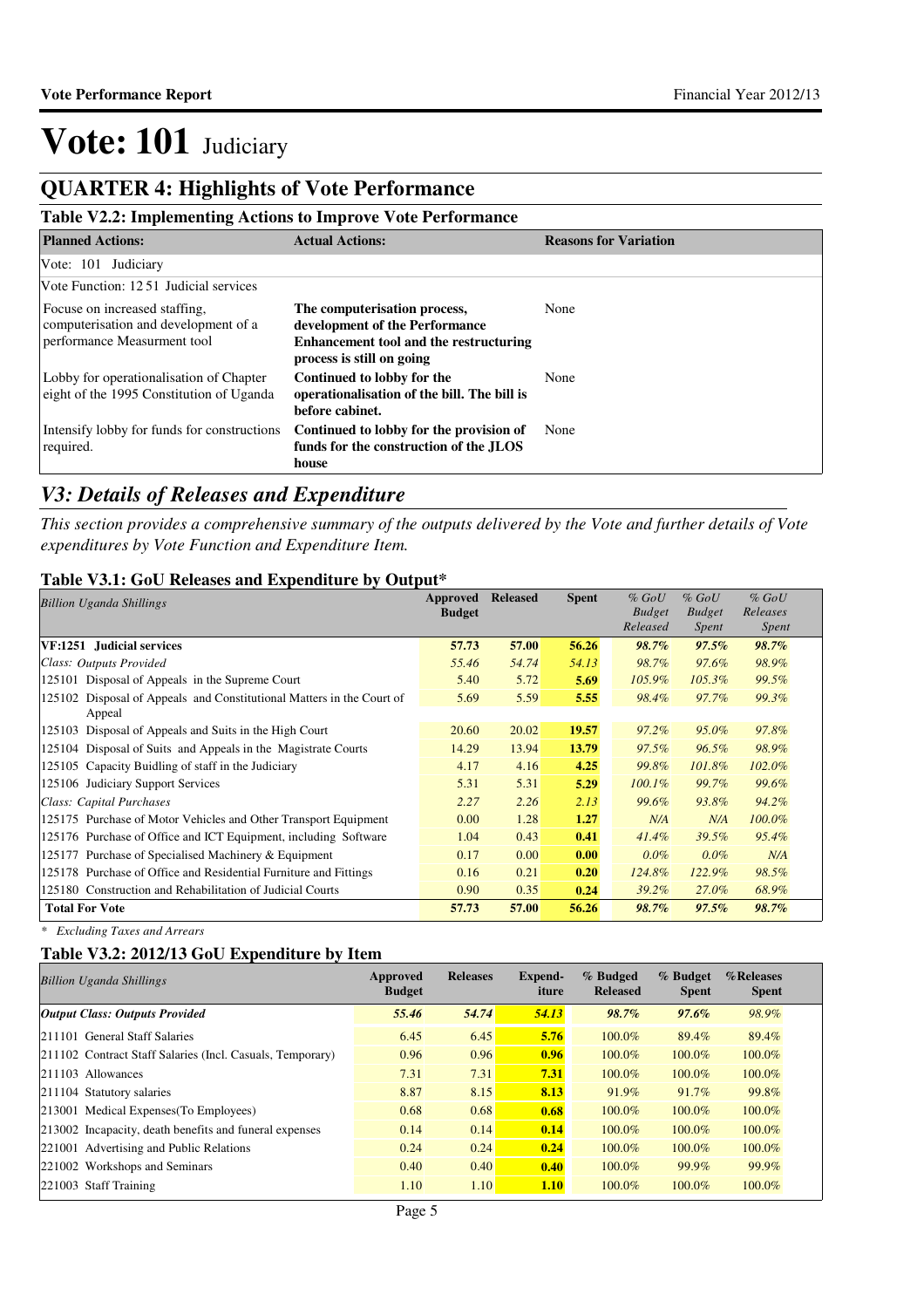### **QUARTER 4: Highlights of Vote Performance**

#### **Table V2.2: Implementing Actions to Improve Vote Performance**

| <b>Planned Actions:</b>                                                                              | <b>Actual Actions:</b>                                                                                                                | <b>Reasons for Variation</b> |
|------------------------------------------------------------------------------------------------------|---------------------------------------------------------------------------------------------------------------------------------------|------------------------------|
| Vote: 101 Judiciary                                                                                  |                                                                                                                                       |                              |
| Vote Function: 1251 Judicial services                                                                |                                                                                                                                       |                              |
| Focuse on increased staffing.<br>computerisation and development of a<br>performance Measurment tool | The computerisation process,<br>development of the Performance<br>Enhancement tool and the restructuring<br>process is still on going | None                         |
| Lobby for operationalisation of Chapter<br>eight of the 1995 Constitution of Uganda                  | Continued to lobby for the<br>operationalisation of the bill. The bill is<br>before cabinet.                                          | None                         |
| Intensify lobby for funds for constructions<br>required.                                             | Continued to lobby for the provision of<br>funds for the construction of the JLOS<br>house                                            | None                         |

### *V3: Details of Releases and Expenditure*

*This section provides a comprehensive summary of the outputs delivered by the Vote and further details of Vote expenditures by Vote Function and Expenditure Item.*

#### **Table V3.1: GoU Releases and Expenditure by Output\***

| <b>Billion Uganda Shillings</b>                                          | Approved<br><b>Budget</b> | <b>Released</b> | <b>Spent</b> | $%$ GoU<br><b>Budget</b><br>Released | $%$ GoU<br><b>Budget</b><br>Spent | $%$ GoU<br>Releases<br><b>Spent</b> |
|--------------------------------------------------------------------------|---------------------------|-----------------|--------------|--------------------------------------|-----------------------------------|-------------------------------------|
| VF:1251 Judicial services                                                | 57.73                     | 57.00           | 56.26        | 98.7%                                | $97.5\%$                          | 98.7%                               |
| Class: Outputs Provided                                                  | 55.46                     | 54.74           | 54.13        | 98.7%                                | 97.6%                             | 98.9%                               |
| 125101 Disposal of Appeals in the Supreme Court                          | 5.40                      | 5.72            | 5.69         | 105.9%                               | 105.3%                            | 99.5%                               |
| Disposal of Appeals and Constitutional Matters in the Court of<br>125102 | 5.69                      | 5.59            | 5.55         | 98.4%                                | 97.7%                             | 99.3%                               |
| Appeal                                                                   |                           |                 |              |                                      |                                   |                                     |
| Disposal of Appeals and Suits in the High Court<br>125103                | 20.60                     | 20.02           | 19.57        | $97.2\%$                             | $95.0\%$                          | 97.8%                               |
| 125104 Disposal of Suits and Appeals in the Magistrate Courts            | 14.29                     | 13.94           | 13.79        | 97.5%                                | 96.5%                             | 98.9%                               |
| 125105 Capacity Buidling of staff in the Judiciary                       | 4.17                      | 4.16            | 4.25         | 99.8%                                | 101.8%                            | $102.0\%$                           |
| 125106 Judiciary Support Services                                        | 5.31                      | 5.31            | 5.29         | $100.1\%$                            | 99.7%                             | 99.6%                               |
| Class: Capital Purchases                                                 | 2.27                      | 2.26            | 2.13         | 99.6%                                | 93.8%                             | 94.2%                               |
| 125175 Purchase of Motor Vehicles and Other Transport Equipment          | 0.00                      | 1.28            | 1.27         | N/A                                  | N/A                               | $100.0\%$                           |
| 125176 Purchase of Office and ICT Equipment, including Software          | 1.04                      | 0.43            | 0.41         | $41.4\%$                             | 39.5%                             | 95.4%                               |
| Purchase of Specialised Machinery & Equipment<br>125177                  | 0.17                      | 0.00            | 0.00         | $0.0\%$                              | $0.0\%$                           | N/A                                 |
| 125178 Purchase of Office and Residential Furniture and Fittings         | 0.16                      | 0.21            | 0.20         | 124.8%                               | $122.9\%$                         | 98.5%                               |
| 125180 Construction and Rehabilitation of Judicial Courts                | 0.90                      | 0.35            | 0.24         | $39.2\%$                             | 27.0%                             | 68.9%                               |
| <b>Total For Vote</b>                                                    | 57.73                     | 57.00           | 56.26        | 98.7%                                | 97.5%                             | 98.7%                               |

*\* Excluding Taxes and Arrears*

#### **Table V3.2: 2012/13 GoU Expenditure by Item**

| <b>Billion Uganda Shillings</b>                           | Approved<br><b>Budget</b> | <b>Releases</b> | Expend-<br>iture | % Budged<br><b>Released</b> | % Budget<br><b>Spent</b> | %Releases<br><b>Spent</b> |
|-----------------------------------------------------------|---------------------------|-----------------|------------------|-----------------------------|--------------------------|---------------------------|
| <b>Output Class: Outputs Provided</b>                     | 55.46                     | 54.74           | 54.13            | 98.7%                       | $97.6\%$                 | 98.9%                     |
| 211101 General Staff Salaries                             | 6.45                      | 6.45            | 5.76             | 100.0%                      | 89.4%                    | 89.4%                     |
| 211102 Contract Staff Salaries (Incl. Casuals, Temporary) | 0.96                      | 0.96            | 0.96             | 100.0%                      | 100.0%                   | 100.0%                    |
| 211103 Allowances                                         | 7.31                      | 7.31            | 7.31             | 100.0%                      | 100.0%                   | 100.0%                    |
| 211104 Statutory salaries                                 | 8.87                      | 8.15            | 8.13             | 91.9%                       | 91.7%                    | 99.8%                     |
| 213001 Medical Expenses (To Employees)                    | 0.68                      | 0.68            | 0.68             | 100.0%                      | 100.0%                   | 100.0%                    |
| 213002 Incapacity, death benefits and funeral expenses    | 0.14                      | 0.14            | 0.14             | 100.0%                      | 100.0%                   | 100.0%                    |
| 221001 Advertising and Public Relations                   | 0.24                      | 0.24            | 0.24             | 100.0%                      | 100.0%                   | 100.0%                    |
| 221002 Workshops and Seminars                             | 0.40                      | 0.40            | 0.40             | 100.0%                      | 99.9%                    | 99.9%                     |
| 221003 Staff Training                                     | 1.10                      | 1.10            | <b>1.10</b>      | 100.0%                      | $100.0\%$                | 100.0%                    |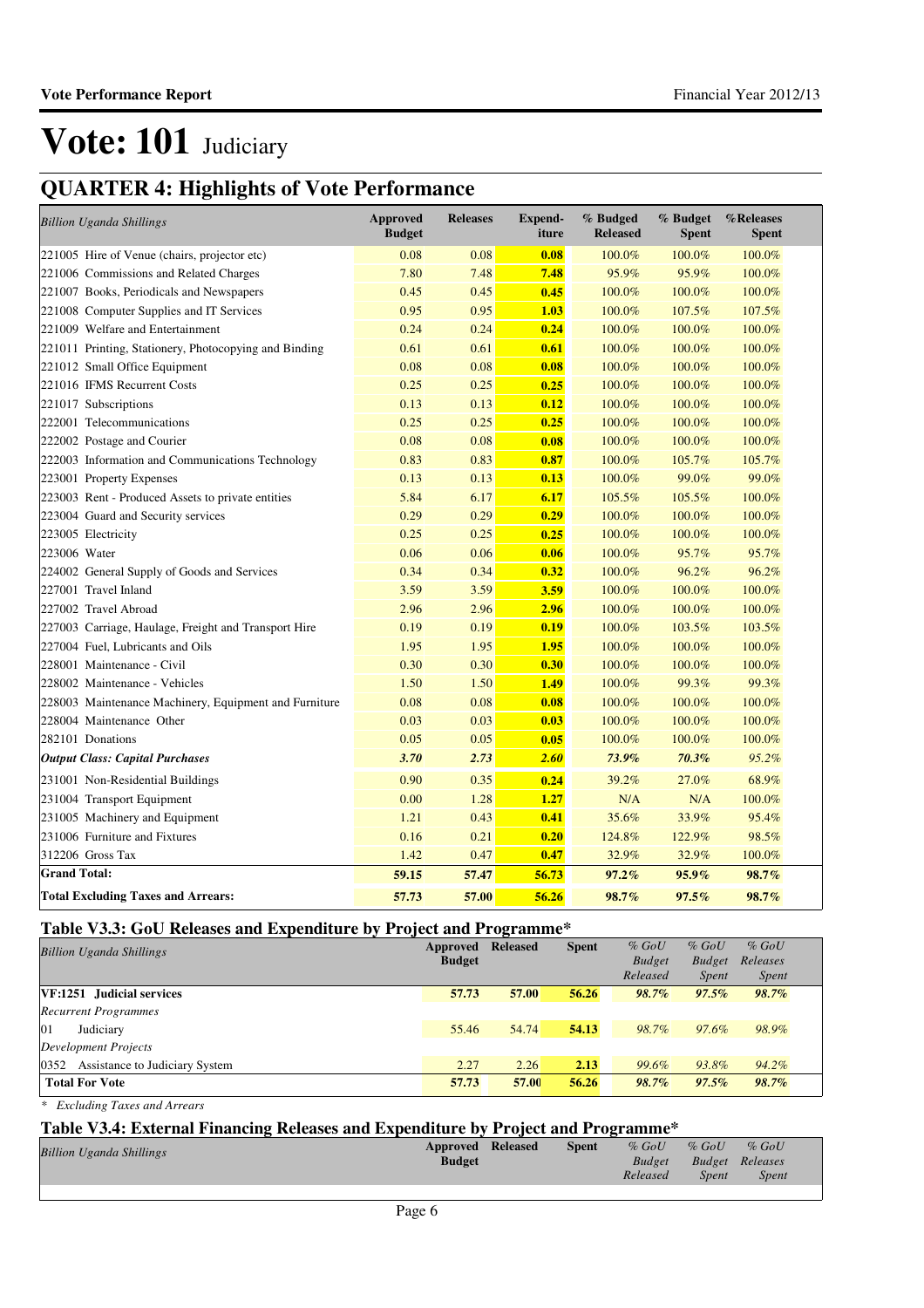## **QUARTER 4: Highlights of Vote Performance**

| <b>Billion Uganda Shillings</b>                       | <b>Approved</b><br><b>Budget</b> | <b>Releases</b> | <b>Expend-</b><br>iture | % Budged<br><b>Released</b> | % Budget<br><b>Spent</b> | %Releases<br><b>Spent</b> |
|-------------------------------------------------------|----------------------------------|-----------------|-------------------------|-----------------------------|--------------------------|---------------------------|
| 221005 Hire of Venue (chairs, projector etc)          | 0.08                             | 0.08            | 0.08                    | 100.0%                      | 100.0%                   | 100.0%                    |
| 221006 Commissions and Related Charges                | 7.80                             | 7.48            | 7.48                    | 95.9%                       | 95.9%                    | 100.0%                    |
| 221007 Books, Periodicals and Newspapers              | 0.45                             | 0.45            | 0.45                    | 100.0%                      | 100.0%                   | 100.0%                    |
| 221008 Computer Supplies and IT Services              | 0.95                             | 0.95            | 1.03                    | 100.0%                      | 107.5%                   | 107.5%                    |
| 221009 Welfare and Entertainment                      | 0.24                             | 0.24            | 0.24                    | 100.0%                      | 100.0%                   | 100.0%                    |
| 221011 Printing, Stationery, Photocopying and Binding | 0.61                             | 0.61            | 0.61                    | 100.0%                      | 100.0%                   | 100.0%                    |
| 221012 Small Office Equipment                         | 0.08                             | 0.08            | 0.08                    | 100.0%                      | 100.0%                   | 100.0%                    |
| 221016 IFMS Recurrent Costs                           | 0.25                             | 0.25            | 0.25                    | 100.0%                      | 100.0%                   | 100.0%                    |
| 221017 Subscriptions                                  | 0.13                             | 0.13            | 0.12                    | 100.0%                      | 100.0%                   | 100.0%                    |
| 222001 Telecommunications                             | 0.25                             | 0.25            | 0.25                    | 100.0%                      | 100.0%                   | 100.0%                    |
| 222002 Postage and Courier                            | 0.08                             | 0.08            | 0.08                    | 100.0%                      | 100.0%                   | 100.0%                    |
| 222003 Information and Communications Technology      | 0.83                             | 0.83            | 0.87                    | 100.0%                      | 105.7%                   | 105.7%                    |
| 223001 Property Expenses                              | 0.13                             | 0.13            | 0.13                    | 100.0%                      | 99.0%                    | 99.0%                     |
| 223003 Rent - Produced Assets to private entities     | 5.84                             | 6.17            | 6.17                    | 105.5%                      | 105.5%                   | 100.0%                    |
| 223004 Guard and Security services                    | 0.29                             | 0.29            | 0.29                    | 100.0%                      | 100.0%                   | 100.0%                    |
| 223005 Electricity                                    | 0.25                             | 0.25            | 0.25                    | 100.0%                      | 100.0%                   | 100.0%                    |
| 223006 Water                                          | 0.06                             | 0.06            | 0.06                    | 100.0%                      | 95.7%                    | 95.7%                     |
| 224002 General Supply of Goods and Services           | 0.34                             | 0.34            | 0.32                    | 100.0%                      | 96.2%                    | 96.2%                     |
| 227001 Travel Inland                                  | 3.59                             | 3.59            | 3.59                    | 100.0%                      | 100.0%                   | 100.0%                    |
| 227002 Travel Abroad                                  | 2.96                             | 2.96            | 2.96                    | 100.0%                      | 100.0%                   | 100.0%                    |
| 227003 Carriage, Haulage, Freight and Transport Hire  | 0.19                             | 0.19            | 0.19                    | 100.0%                      | 103.5%                   | 103.5%                    |
| 227004 Fuel, Lubricants and Oils                      | 1.95                             | 1.95            | 1.95                    | 100.0%                      | 100.0%                   | 100.0%                    |
| 228001 Maintenance - Civil                            | 0.30                             | 0.30            | 0.30                    | 100.0%                      | 100.0%                   | 100.0%                    |
| 228002 Maintenance - Vehicles                         | 1.50                             | 1.50            | 1.49                    | 100.0%                      | 99.3%                    | 99.3%                     |
| 228003 Maintenance Machinery, Equipment and Furniture | 0.08                             | 0.08            | 0.08                    | 100.0%                      | 100.0%                   | 100.0%                    |
| 228004 Maintenance Other                              | 0.03                             | 0.03            | 0.03                    | 100.0%                      | 100.0%                   | 100.0%                    |
| 282101 Donations                                      | 0.05                             | 0.05            | 0.05                    | 100.0%                      | 100.0%                   | 100.0%                    |
| <b>Output Class: Capital Purchases</b>                | 3.70                             | 2.73            | 2.60                    | 73.9%                       | 70.3%                    | 95.2%                     |
| 231001 Non-Residential Buildings                      | 0.90                             | 0.35            | 0.24                    | 39.2%                       | 27.0%                    | 68.9%                     |
| 231004 Transport Equipment                            | 0.00                             | 1.28            | 1.27                    | N/A                         | N/A                      | 100.0%                    |
| 231005 Machinery and Equipment                        | 1.21                             | 0.43            | 0.41                    | 35.6%                       | 33.9%                    | 95.4%                     |
| 231006 Furniture and Fixtures                         | 0.16                             | 0.21            | 0.20                    | 124.8%                      | 122.9%                   | 98.5%                     |
| 312206 Gross Tax                                      | 1.42                             | 0.47            | 0.47                    | 32.9%                       | 32.9%                    | 100.0%                    |
| <b>Grand Total:</b>                                   | 59.15                            | 57.47           | 56.73                   | 97.2%                       | 95.9%                    | 98.7%                     |
| <b>Total Excluding Taxes and Arrears:</b>             | 57.73                            | 57.00           | 56.26                   | 98.7%                       | 97.5%                    | 98.7%                     |

#### **Table V3.3: GoU Releases and Expenditure by Project and Programme\***

| <b>Billion Uganda Shillings</b>     | Approved<br><b>Budget</b> | <b>Released</b> | <b>Spent</b> | $%$ GoU<br><b>Budget</b> | $%$ GoU<br><b>Budget</b> | $%$ GoU<br>Releases |
|-------------------------------------|---------------------------|-----------------|--------------|--------------------------|--------------------------|---------------------|
|                                     |                           |                 |              | Released                 | <i>Spent</i>             | <i>Spent</i>        |
| VF:1251 Judicial services           | 57.73                     | 57.00           | 56.26        | 98.7%                    | $97.5\%$                 | 98.7%               |
| <b>Recurrent Programmes</b>         |                           |                 |              |                          |                          |                     |
| 01<br>Judiciary                     | 55.46                     | 54.74           | 54.13        | 98.7%                    | 97.6%                    | 98.9%               |
| Development Projects                |                           |                 |              |                          |                          |                     |
| 0352 Assistance to Judiciary System | 2.27                      | 2.26            | 2.13         | 99.6%                    | 93.8%                    | 94.2%               |
| <b>Total For Vote</b>               | 57.73                     | 57.00           | 56.26        | 98.7%                    | $97.5\%$                 | 98.7%               |

*\* Excluding Taxes and Arrears*

#### **Table V3.4: External Financing Releases and Expenditure by Project and Programme\***

| <b>Billion Uganda Shillings</b> | <b>Approved Released</b> | <b>Spent</b> | $%$ GoU       | $%$ GoU | $%$ GoU                |  |
|---------------------------------|--------------------------|--------------|---------------|---------|------------------------|--|
|                                 | <b>Budget</b>            |              | <b>Budget</b> |         | <b>Budget Releases</b> |  |
|                                 |                          |              | Released      | Spent   | <b>Spent</b>           |  |
|                                 |                          |              |               |         |                        |  |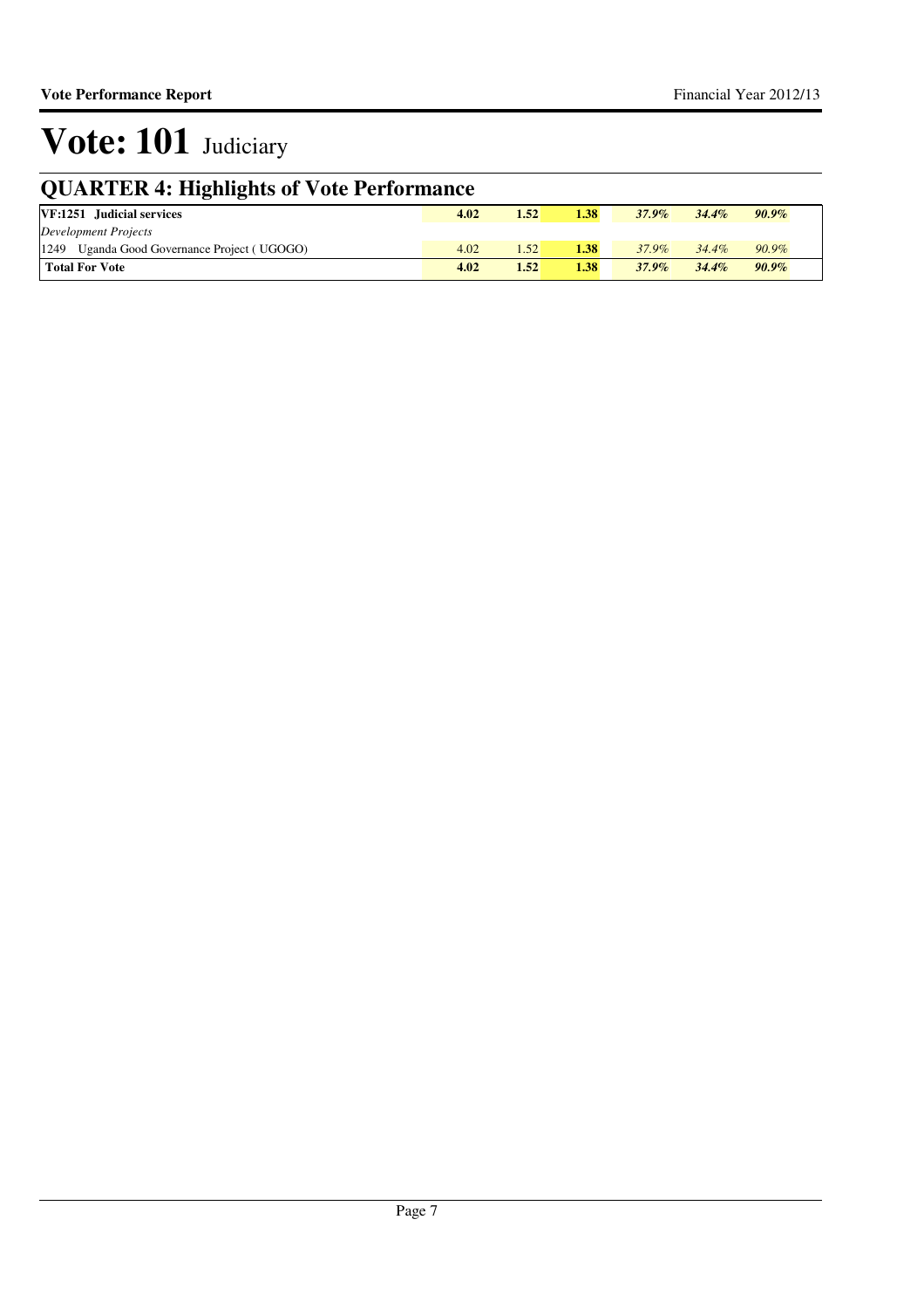## **QUARTER 4: Highlights of Vote Performance**

| VF:1251 Judicial services                   | 4.02 | 1.52 | 1.38 | $37.9\%$ | $34.4\%$ | $90.9\%$ |
|---------------------------------------------|------|------|------|----------|----------|----------|
| Development Projects                        |      |      |      |          |          |          |
| 1249 Uganda Good Governance Project (UGOGO) | 4.02 | .52  | 1.38 | 37.9%    | $34.4\%$ | $90.9\%$ |
| Total For Vote                              | 4.02 | 1.52 | 1.38 | $37.9\%$ | 34.4%    | $90.9\%$ |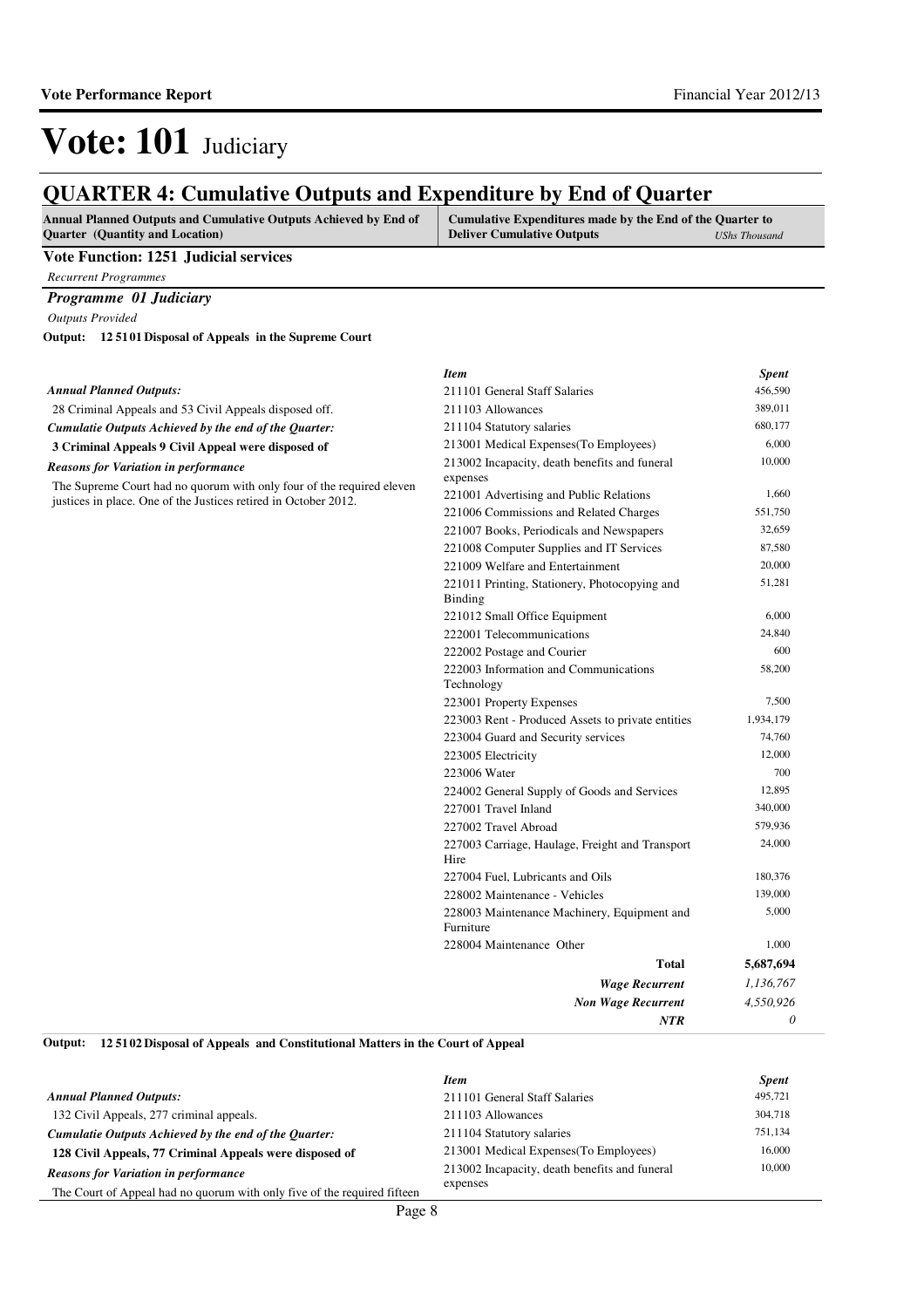### **QUARTER 4: Cumulative Outputs and Expenditure by End of Quarter**

| <b>Annual Planned Outputs and Cumulative Outputs Achieved by End of</b> | <b>Cumulative Expenditures made by the End of the Quarter to</b> |               |
|-------------------------------------------------------------------------|------------------------------------------------------------------|---------------|
| <b>Ouarter</b> (Quantity and Location)                                  | <b>Deliver Cumulative Outputs</b>                                | UShs Thousand |

#### **Vote Function: 1251 Judicial services**

*Recurrent Programmes*

#### *Programme 01 Judiciary*

*Outputs Provided*

**12 5101 Disposal of Appeals in the Supreme Court Output:**

|                                                                                                                                          | <b>Item</b>                                                     | <b>Spent</b> |
|------------------------------------------------------------------------------------------------------------------------------------------|-----------------------------------------------------------------|--------------|
| <b>Annual Planned Outputs:</b>                                                                                                           | 211101 General Staff Salaries                                   | 456,590      |
| 28 Criminal Appeals and 53 Civil Appeals disposed off.                                                                                   | 211103 Allowances                                               | 389,011      |
| Cumulatie Outputs Achieved by the end of the Quarter:                                                                                    | 211104 Statutory salaries                                       | 680,177      |
| 3 Criminal Appeals 9 Civil Appeal were disposed of                                                                                       | 213001 Medical Expenses (To Employees)                          | 6,000        |
| <b>Reasons for Variation in performance</b>                                                                                              | 213002 Incapacity, death benefits and funeral<br>expenses       | 10,000       |
| The Supreme Court had no quorum with only four of the required eleven<br>justices in place. One of the Justices retired in October 2012. | 221001 Advertising and Public Relations                         | 1,660        |
|                                                                                                                                          | 221006 Commissions and Related Charges                          | 551,750      |
|                                                                                                                                          | 221007 Books, Periodicals and Newspapers                        | 32,659       |
|                                                                                                                                          | 221008 Computer Supplies and IT Services                        | 87,580       |
|                                                                                                                                          | 221009 Welfare and Entertainment                                | 20,000       |
|                                                                                                                                          | 221011 Printing, Stationery, Photocopying and<br><b>Binding</b> | 51,281       |
|                                                                                                                                          | 221012 Small Office Equipment                                   | 6,000        |
|                                                                                                                                          | 222001 Telecommunications                                       | 24,840       |
|                                                                                                                                          | 222002 Postage and Courier                                      | 600          |
|                                                                                                                                          | 222003 Information and Communications<br>Technology             | 58,200       |
|                                                                                                                                          | 223001 Property Expenses                                        | 7,500        |
|                                                                                                                                          | 223003 Rent - Produced Assets to private entities               | 1,934,179    |
|                                                                                                                                          | 223004 Guard and Security services                              | 74,760       |
|                                                                                                                                          | 223005 Electricity                                              | 12,000       |
|                                                                                                                                          | 223006 Water                                                    | 700          |
|                                                                                                                                          | 224002 General Supply of Goods and Services                     | 12,895       |
|                                                                                                                                          | 227001 Travel Inland                                            | 340,000      |
|                                                                                                                                          | 227002 Travel Abroad                                            | 579,936      |
|                                                                                                                                          | 227003 Carriage, Haulage, Freight and Transport<br>Hire         | 24,000       |
|                                                                                                                                          | 227004 Fuel, Lubricants and Oils                                | 180,376      |
|                                                                                                                                          | 228002 Maintenance - Vehicles                                   | 139,000      |
|                                                                                                                                          | 228003 Maintenance Machinery, Equipment and<br>Furniture        | 5,000        |
|                                                                                                                                          | 228004 Maintenance Other                                        | 1,000        |
|                                                                                                                                          | Total                                                           | 5,687,694    |
|                                                                                                                                          | <b>Wage Recurrent</b>                                           | 1,136,767    |
|                                                                                                                                          | <b>Non Wage Recurrent</b>                                       | 4,550,926    |
|                                                                                                                                          | NTR                                                             | $\theta$     |

**12 5102 Disposal of Appeals and Constitutional Matters in the Court of Appeal Output:**

|                                                                          | <b>Item</b>                                   | <b>Spent</b> |
|--------------------------------------------------------------------------|-----------------------------------------------|--------------|
| <b>Annual Planned Outputs:</b>                                           | 211101 General Staff Salaries                 | 495,721      |
| 132 Civil Appeals, 277 criminal appeals.                                 | 211103 Allowances                             | 304,718      |
| Cumulatie Outputs Achieved by the end of the Ouarter:                    | 211104 Statutory salaries                     | 751,134      |
| 128 Civil Appeals, 77 Criminal Appeals were disposed of                  | 213001 Medical Expenses (To Employees)        | 16,000       |
| <b>Reasons for Variation in performance</b>                              | 213002 Incapacity, death benefits and funeral | 10,000       |
| The Court of Appeal had no quorum with only five of the required fifteen | expenses                                      |              |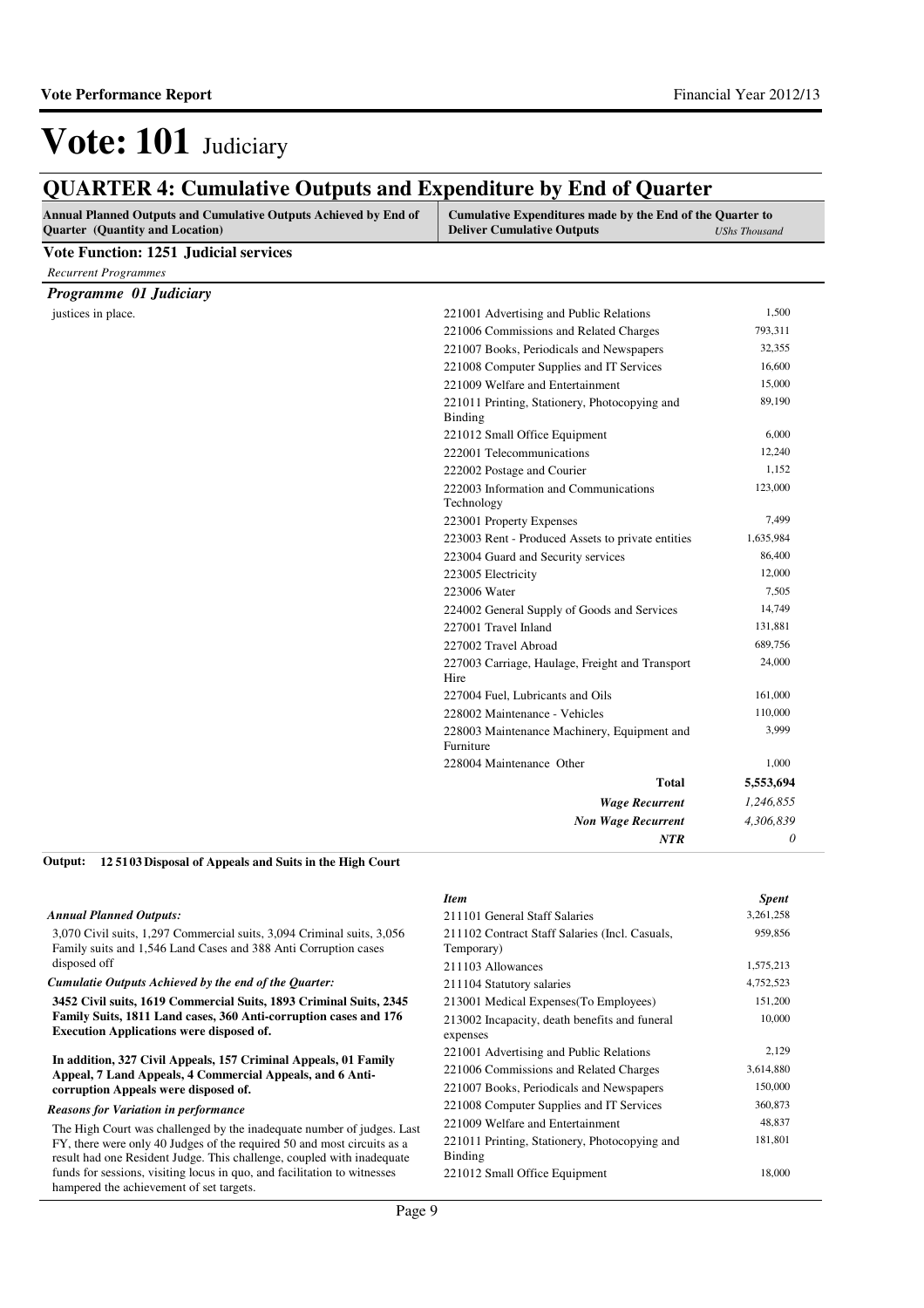### **QUARTER 4: Cumulative Outputs and Expenditure by End of Quarter**

| Annual Planned Outputs and Cumulative Outputs Achieved by End of<br><b>Quarter</b> (Quantity and Location) | Cumulative Expenditures made by the End of the Quarter to<br><b>Deliver Cumulative Outputs</b> | <b>UShs Thousand</b> |
|------------------------------------------------------------------------------------------------------------|------------------------------------------------------------------------------------------------|----------------------|
| <b>Vote Function: 1251 Judicial services</b>                                                               |                                                                                                |                      |
| <b>Recurrent Programmes</b>                                                                                |                                                                                                |                      |
| Programme 01 Judiciary                                                                                     |                                                                                                |                      |
| justices in place.                                                                                         | 221001 Advertising and Public Relations                                                        | 1,500                |
|                                                                                                            | 221006 Commissions and Related Charges                                                         | 793,311              |
|                                                                                                            | 221007 Books, Periodicals and Newspapers                                                       | 32,355               |
|                                                                                                            | 221008 Computer Supplies and IT Services                                                       | 16,600               |
|                                                                                                            | 221009 Welfare and Entertainment                                                               | 15,000               |
|                                                                                                            | 221011 Printing, Stationery, Photocopying and<br>Binding                                       | 89,190               |
|                                                                                                            | 221012 Small Office Equipment                                                                  | 6,000                |
|                                                                                                            | 222001 Telecommunications                                                                      | 12,240               |
|                                                                                                            | 222002 Postage and Courier                                                                     | 1,152                |
|                                                                                                            | 222003 Information and Communications<br>Technology                                            | 123,000              |
|                                                                                                            | 223001 Property Expenses                                                                       | 7,499                |
|                                                                                                            | 223003 Rent - Produced Assets to private entities                                              | 1,635,984            |
|                                                                                                            | 223004 Guard and Security services                                                             | 86,400               |
|                                                                                                            | 223005 Electricity                                                                             | 12,000               |
|                                                                                                            | 223006 Water                                                                                   | 7,505                |
|                                                                                                            | 224002 General Supply of Goods and Services                                                    | 14,749               |
|                                                                                                            | 227001 Travel Inland                                                                           | 131,881              |
|                                                                                                            | 227002 Travel Abroad                                                                           | 689,756              |
|                                                                                                            | 227003 Carriage, Haulage, Freight and Transport<br>Hire                                        | 24,000               |
|                                                                                                            | 227004 Fuel, Lubricants and Oils                                                               | 161,000              |
|                                                                                                            | 228002 Maintenance - Vehicles                                                                  | 110,000              |
|                                                                                                            | 228003 Maintenance Machinery, Equipment and<br>Furniture                                       | 3,999                |
|                                                                                                            | 228004 Maintenance Other                                                                       | 1,000                |
|                                                                                                            | <b>Total</b>                                                                                   | 5,553,694            |
|                                                                                                            | <b>Wage Recurrent</b>                                                                          | 1,246,855            |
|                                                                                                            | <b>Non Wage Recurrent</b>                                                                      | 4,306,839            |
|                                                                                                            | NTR                                                                                            | 0                    |

#### *Annual Planned Outputs:*

3,070 Civil suits, 1,297 Commercial suits, 3,094 Criminal suits, 3,056 Family suits and 1,546 Land Cases and 388 Anti Corruption cases disposed off

*Cumulatie Outputs Achieved by the end of the Quarter:*

**3452 Civil suits, 1619 Commercial Suits, 1893 Criminal Suits, 2345 Family Suits, 1811 Land cases, 360 Anti-corruption cases and 176 Execution Applications were disposed of.**

#### **In addition, 327 Civil Appeals, 157 Criminal Appeals, 01 Family Appeal, 7 Land Appeals, 4 Commercial Appeals, and 6 Anticorruption Appeals were disposed of.**

#### *Reasons for Variation in performance*

The High Court was challenged by the inadequate number of judges. Last FY, there were only 40 Judges of the required 50 and most circuits as a result had one Resident Judge. This challenge, coupled with inadequate funds for sessions, visiting locus in quo, and facilitation to witnesses hampered the achievement of set targets.

#### *Item Spent* 211101 General Staff Salaries 3,261,258 211102 Contract Staff Salaries (Incl. Casuals, Temporary) 959,856 211103 Allowances 1,575,213 211104 Statutory salaries 4,752,523 213001 Medical Expenses(To Employees) 151,200 213002 Incapacity, death benefits and funeral expenses 10,000 221001 Advertising and Public Relations 2,129 221006 Commissions and Related Charges 3,614,880 221007 Books, Periodicals and Newspapers 150,000 221008 Computer Supplies and IT Services 360,873 221009 Welfare and Entertainment 48,837 221011 Printing, Stationery, Photocopying and Binding 181,801 221012 Small Office Equipment 18,000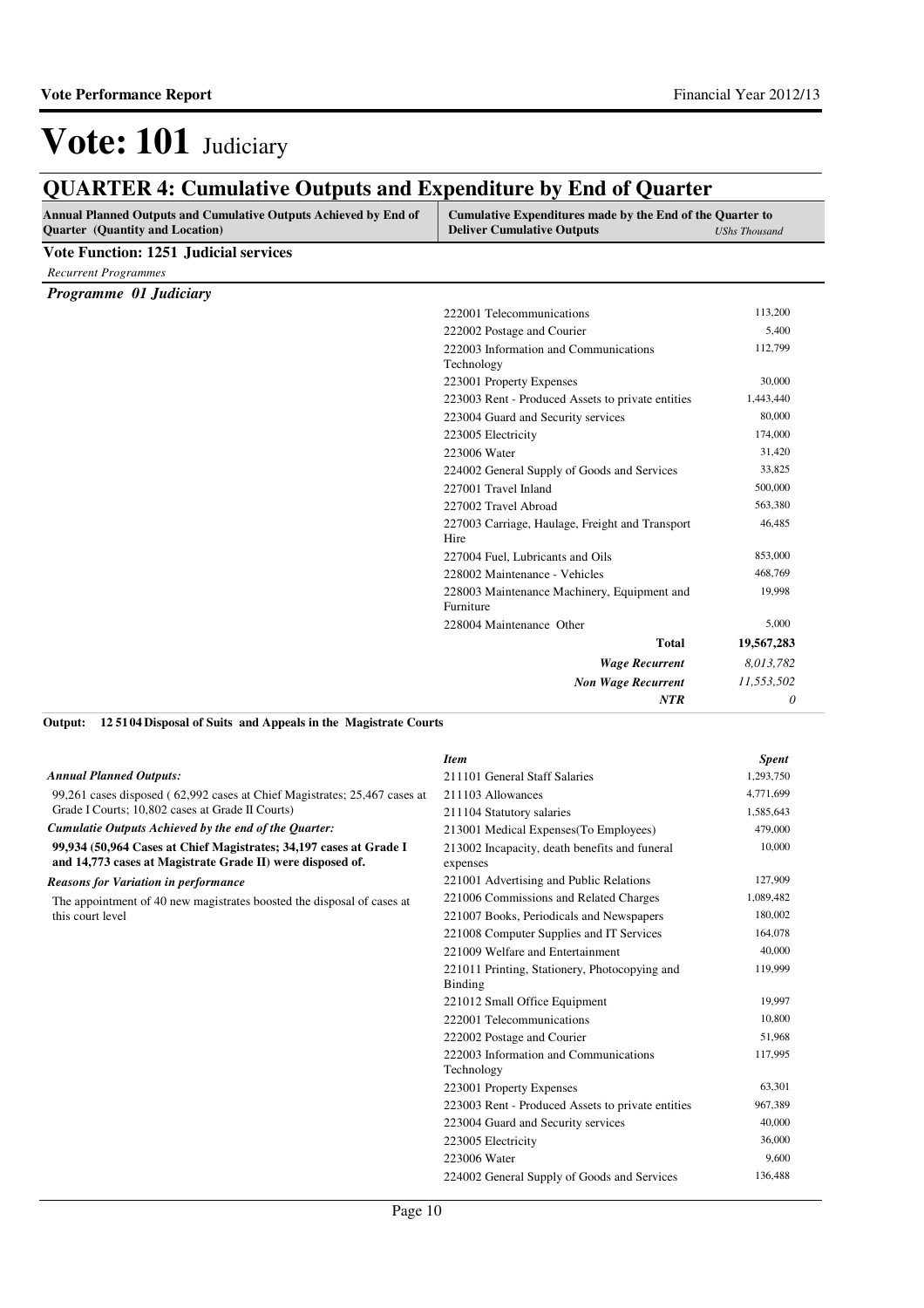## **QUARTER 4: Cumulative Outputs and Expenditure by End of Quarter**

| Annual Planned Outputs and Cumulative Outputs Achieved by End of<br><b>Quarter</b> (Quantity and Location) | Cumulative Expenditures made by the End of the Quarter to<br><b>Deliver Cumulative Outputs</b> | <b>UShs Thousand</b> |
|------------------------------------------------------------------------------------------------------------|------------------------------------------------------------------------------------------------|----------------------|
| <b>Vote Function: 1251 Judicial services</b>                                                               |                                                                                                |                      |
| <b>Recurrent Programmes</b>                                                                                |                                                                                                |                      |
| Programme 01 Judiciary                                                                                     |                                                                                                |                      |
|                                                                                                            | 222001 Telecommunications                                                                      | 113,200              |
|                                                                                                            | 222002 Postage and Courier                                                                     | 5,400                |
|                                                                                                            | 222003 Information and Communications<br>Technology                                            | 112,799              |
|                                                                                                            | 223001 Property Expenses                                                                       | 30,000               |
|                                                                                                            | 223003 Rent - Produced Assets to private entities                                              | 1,443,440            |
|                                                                                                            | 223004 Guard and Security services                                                             | 80,000               |
|                                                                                                            | 223005 Electricity                                                                             | 174,000              |
|                                                                                                            | 223006 Water                                                                                   | 31,420               |
|                                                                                                            | 224002 General Supply of Goods and Services                                                    | 33,825               |
|                                                                                                            | 227001 Travel Inland                                                                           | 500,000              |
|                                                                                                            | 227002 Travel Abroad                                                                           | 563,380              |
|                                                                                                            | 227003 Carriage, Haulage, Freight and Transport<br>Hire                                        | 46,485               |
|                                                                                                            | 227004 Fuel, Lubricants and Oils                                                               | 853,000              |
|                                                                                                            | 228002 Maintenance - Vehicles                                                                  | 468,769              |
|                                                                                                            | 228003 Maintenance Machinery, Equipment and<br>Furniture                                       | 19,998               |
|                                                                                                            | 228004 Maintenance Other                                                                       | 5,000                |
|                                                                                                            | <b>Total</b>                                                                                   | 19,567,283           |
|                                                                                                            | <b>Wage Recurrent</b>                                                                          | 8,013,782            |
|                                                                                                            | <b>Non Wage Recurrent</b>                                                                      | 11,553,502           |
|                                                                                                            | <b>NTR</b>                                                                                     | 0                    |

#### **12 5104 Disposal of Suits and Appeals in the Magistrate Courts Output:**

|                                                                                                                                  | <b>Item</b>                                               | <b>Spent</b> |
|----------------------------------------------------------------------------------------------------------------------------------|-----------------------------------------------------------|--------------|
| <b>Annual Planned Outputs:</b>                                                                                                   | 211101 General Staff Salaries                             | 1,293,750    |
| 99,261 cases disposed (62,992 cases at Chief Magistrates; 25,467 cases at                                                        | 211103 Allowances                                         | 4,771,699    |
| Grade I Courts; 10,802 cases at Grade II Courts)                                                                                 | 211104 Statutory salaries                                 | 1,585,643    |
| Cumulatie Outputs Achieved by the end of the Quarter:                                                                            | 213001 Medical Expenses (To Employees)                    | 479,000      |
| 99,934 (50,964 Cases at Chief Magistrates; 34,197 cases at Grade I<br>and 14,773 cases at Magistrate Grade II) were disposed of. | 213002 Incapacity, death benefits and funeral<br>expenses | 10,000       |
| <b>Reasons for Variation in performance</b>                                                                                      | 221001 Advertising and Public Relations                   | 127,909      |
| The appointment of 40 new magistrates boosted the disposal of cases at                                                           | 221006 Commissions and Related Charges                    | 1,089,482    |
| this court level                                                                                                                 | 221007 Books, Periodicals and Newspapers                  | 180,002      |
|                                                                                                                                  | 221008 Computer Supplies and IT Services                  | 164,078      |
|                                                                                                                                  | 221009 Welfare and Entertainment                          | 40,000       |
|                                                                                                                                  | 221011 Printing, Stationery, Photocopying and<br>Binding  | 119,999      |
|                                                                                                                                  | 221012 Small Office Equipment                             | 19,997       |
|                                                                                                                                  | 222001 Telecommunications                                 | 10,800       |
|                                                                                                                                  | 222002 Postage and Courier                                | 51,968       |
|                                                                                                                                  | 222003 Information and Communications<br>Technology       | 117,995      |
|                                                                                                                                  | 223001 Property Expenses                                  | 63,301       |
|                                                                                                                                  | 223003 Rent - Produced Assets to private entities         | 967,389      |
|                                                                                                                                  | 223004 Guard and Security services                        | 40,000       |
|                                                                                                                                  | 223005 Electricity                                        | 36,000       |
|                                                                                                                                  | 223006 Water                                              | 9,600        |
|                                                                                                                                  | 224002 General Supply of Goods and Services               | 136,488      |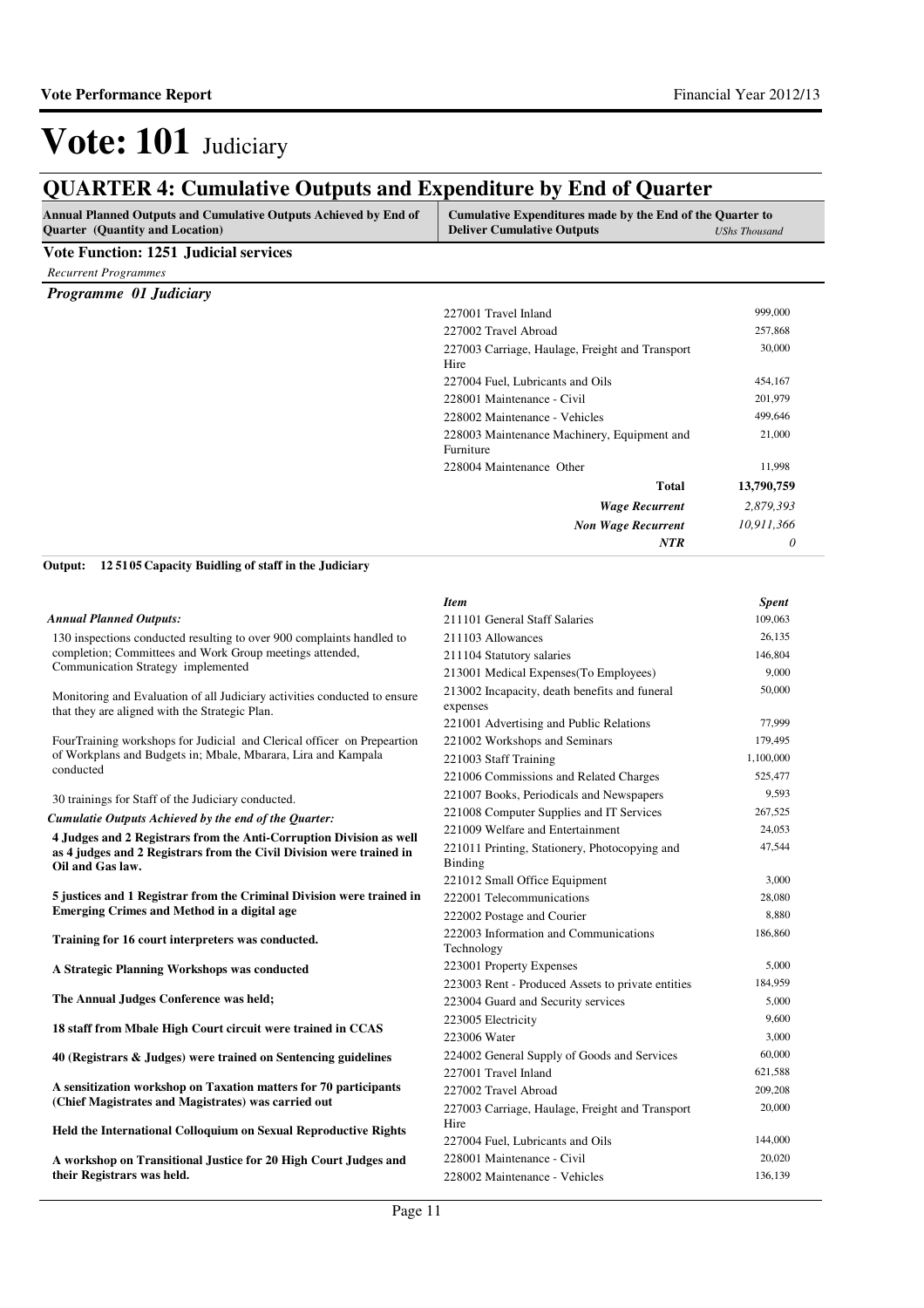### **QUARTER 4: Cumulative Outputs and Expenditure by End of Quarter**

| gorini din 4. Camalati ve outputs and dispenditure by this of guarter<br><b>Annual Planned Outputs and Cumulative Outputs Achieved by End of</b><br>Quarter (Quantity and Location) | Cumulative Expenditures made by the End of the Quarter to<br><b>Deliver Cumulative Outputs</b> | <b>UShs Thousand</b> |
|-------------------------------------------------------------------------------------------------------------------------------------------------------------------------------------|------------------------------------------------------------------------------------------------|----------------------|
| <b>Vote Function: 1251 Judicial services</b>                                                                                                                                        |                                                                                                |                      |
| <b>Recurrent Programmes</b>                                                                                                                                                         |                                                                                                |                      |
| Programme 01 Judiciary                                                                                                                                                              |                                                                                                |                      |
|                                                                                                                                                                                     | 227001 Travel Inland                                                                           | 999,000              |
|                                                                                                                                                                                     | 227002 Travel Abroad                                                                           | 257,868              |
|                                                                                                                                                                                     | 227003 Carriage, Haulage, Freight and Transport                                                | 30,000               |
|                                                                                                                                                                                     | Hire                                                                                           |                      |
|                                                                                                                                                                                     | 227004 Fuel, Lubricants and Oils                                                               | 454,167              |
|                                                                                                                                                                                     | 228001 Maintenance - Civil                                                                     | 201,979              |
|                                                                                                                                                                                     | 228002 Maintenance - Vehicles                                                                  | 499,646              |
|                                                                                                                                                                                     | 228003 Maintenance Machinery, Equipment and<br>Furniture                                       | 21,000               |
|                                                                                                                                                                                     | 228004 Maintenance Other                                                                       | 11,998               |
|                                                                                                                                                                                     | <b>Total</b>                                                                                   | 13,790,759           |
|                                                                                                                                                                                     | <b>Wage Recurrent</b>                                                                          | 2,879,393            |
|                                                                                                                                                                                     | <b>Non Wage Recurrent</b>                                                                      | 10,911,366           |
|                                                                                                                                                                                     | <b>NTR</b>                                                                                     | 0                    |
| Output:<br>125105 Capacity Buidling of staff in the Judiciary                                                                                                                       |                                                                                                |                      |
|                                                                                                                                                                                     | <b>Item</b>                                                                                    | Spent                |
| <b>Annual Planned Outputs:</b>                                                                                                                                                      | 211101 General Staff Salaries                                                                  | 109,063              |
| 130 inspections conducted resulting to over 900 complaints handled to                                                                                                               | 211103 Allowances                                                                              | 26,135               |
| completion; Committees and Work Group meetings attended,                                                                                                                            | 211104 Statutory salaries                                                                      | 146,804              |
| Communication Strategy implemented                                                                                                                                                  | 213001 Medical Expenses (To Employees)                                                         | 9,000                |
| Monitoring and Evaluation of all Judiciary activities conducted to ensure<br>that they are aligned with the Strategic Plan.                                                         | 213002 Incapacity, death benefits and funeral<br>expenses                                      | 50,000               |
|                                                                                                                                                                                     | 221001 Advertising and Public Relations                                                        | 77,999               |
| FourTraining workshops for Judicial and Clerical officer on Prepeartion                                                                                                             | 221002 Workshops and Seminars                                                                  | 179,495              |
| of Workplans and Budgets in; Mbale, Mbarara, Lira and Kampala                                                                                                                       | 221003 Staff Training                                                                          | 1,100,000            |
| conducted                                                                                                                                                                           | 221006 Commissions and Related Charges                                                         | 525,477              |
| 30 trainings for Staff of the Judiciary conducted.                                                                                                                                  | 221007 Books, Periodicals and Newspapers                                                       | 9,593                |
| Cumulatie Outputs Achieved by the end of the Quarter:                                                                                                                               | 221008 Computer Supplies and IT Services                                                       | 267,525              |
| 4 Judges and 2 Registrars from the Anti-Corruption Division as well                                                                                                                 | 221009 Welfare and Entertainment                                                               | 24,053               |
| as 4 judges and 2 Registrars from the Civil Division were trained in<br>Oil and Gas law.                                                                                            | 221011 Printing, Stationery, Photocopying and<br>Binding                                       | 47,544               |
|                                                                                                                                                                                     | 221012 Small Office Equipment                                                                  | 3,000                |
| 5 justices and 1 Registrar from the Criminal Division were trained in                                                                                                               | 222001 Telecommunications                                                                      | 28,080               |
| <b>Emerging Crimes and Method in a digital age</b>                                                                                                                                  | 222002 Postage and Courier                                                                     | 8,880                |
| Training for 16 court interpreters was conducted.                                                                                                                                   | 222003 Information and Communications<br>Technology                                            | 186,860              |
| A Strategic Planning Workshops was conducted                                                                                                                                        | 223001 Property Expenses                                                                       | 5,000                |
|                                                                                                                                                                                     | 223003 Rent - Produced Assets to private entities                                              | 184,959              |
| The Annual Judges Conference was held;                                                                                                                                              | 223004 Guard and Security services                                                             | 5,000                |
| 18 staff from Mbale High Court circuit were trained in CCAS                                                                                                                         | 223005 Electricity                                                                             | 9,600                |
|                                                                                                                                                                                     | 223006 Water                                                                                   | 3,000                |
| 40 (Registrars & Judges) were trained on Sentencing guidelines                                                                                                                      | 224002 General Supply of Goods and Services                                                    | 60,000               |
|                                                                                                                                                                                     | 227001 Travel Inland                                                                           | 621,588              |
| A sensitization workshop on Taxation matters for 70 participants                                                                                                                    | 227002 Travel Abroad                                                                           | 209,208              |
| (Chief Magistrates and Magistrates) was carried out<br>Held the International Colloquium on Sexual Reproductive Rights                                                              | 227003 Carriage, Haulage, Freight and Transport<br>Hire                                        | 20,000               |
|                                                                                                                                                                                     | 227004 Fuel, Lubricants and Oils                                                               | 144,000              |
| A workshop on Transitional Justice for 20 High Court Judges and                                                                                                                     | 228001 Maintenance - Civil                                                                     | 20,020               |

**A workshop on Transitional Justice for 20 High Court Judges and their Registrars was held.**

228002 Maintenance - Vehicles 136,139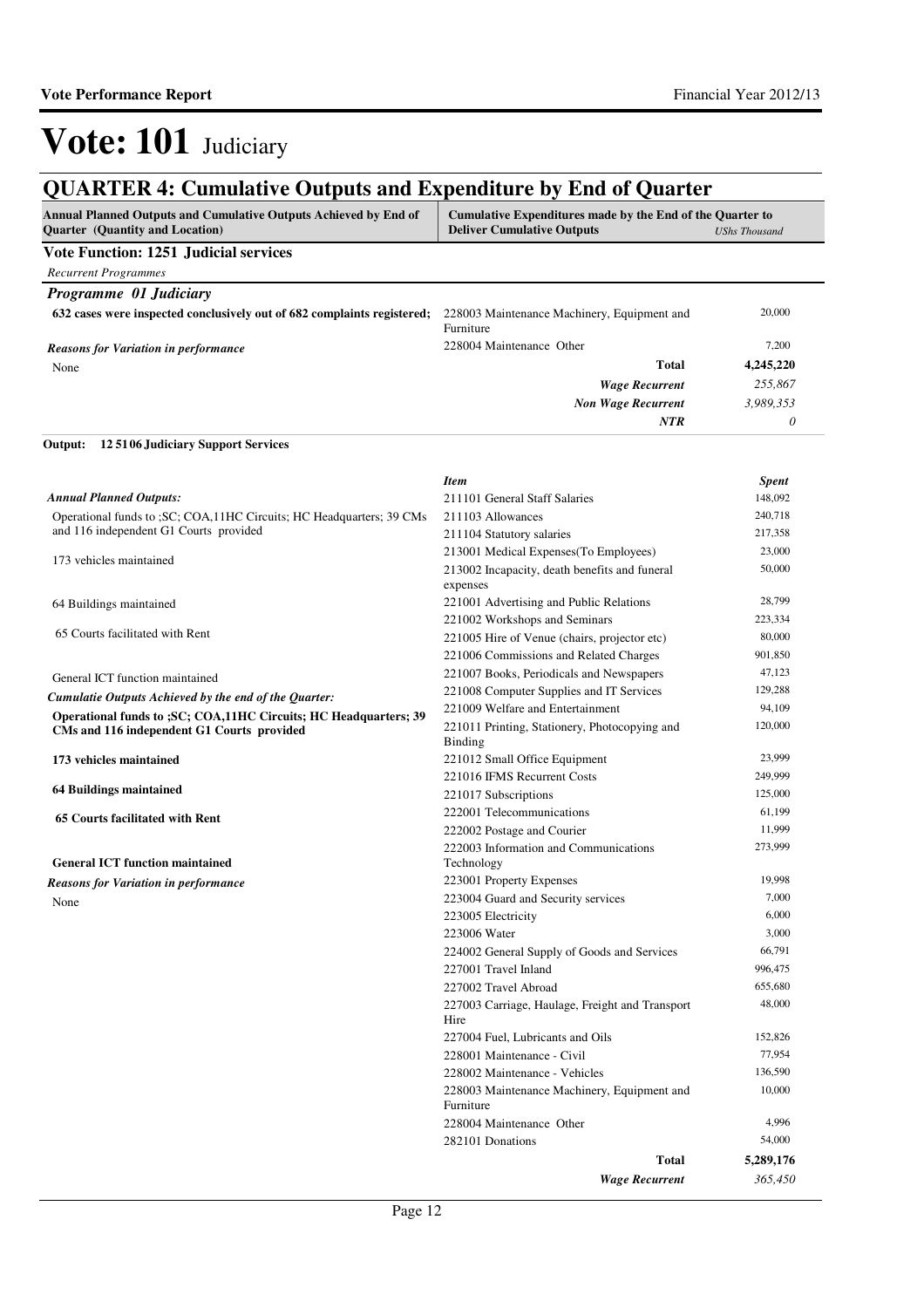## **QUARTER 4: Cumulative Outputs and Expenditure by End of Quarter**

| <b>Annual Planned Outputs and Cumulative Outputs Achieved by End of</b><br><b>Ouarter</b> (Quantity and Location) | Cumulative Expenditures made by the End of the Quarter to<br><b>Deliver Cumulative Outputs</b> | <b>UShs Thousand</b> |
|-------------------------------------------------------------------------------------------------------------------|------------------------------------------------------------------------------------------------|----------------------|
| <b>Vote Function: 1251 Judicial services</b>                                                                      |                                                                                                |                      |
| <b>Recurrent Programmes</b>                                                                                       |                                                                                                |                      |
| <b>Programme 01 Judiciary</b>                                                                                     |                                                                                                |                      |
| 632 cases were inspected conclusively out of 682 complaints registered;                                           | 228003 Maintenance Machinery, Equipment and<br>Furniture                                       | 20,000               |
| <b>Reasons for Variation in performance</b>                                                                       | 228004 Maintenance Other                                                                       | 7,200                |
| None                                                                                                              | Total                                                                                          | 4,245,220            |
|                                                                                                                   | <b>Wage Recurrent</b>                                                                          | 255,867              |
|                                                                                                                   | <b>Non Wage Recurrent</b>                                                                      | 3.989.353            |
|                                                                                                                   | <b>NTR</b>                                                                                     | 0                    |

#### **12 5106 Judiciary Support Services Output:**

|                                                                        | <b>Item</b>                                               | <b>Spent</b> |
|------------------------------------------------------------------------|-----------------------------------------------------------|--------------|
| <b>Annual Planned Outputs:</b>                                         | 211101 General Staff Salaries                             | 148,092      |
| Operational funds to : SC: COA, 11HC Circuits: HC Headquarters: 39 CMs | 211103 Allowances                                         | 240,718      |
| and 116 independent G1 Courts provided                                 | 211104 Statutory salaries                                 | 217,358      |
|                                                                        | 213001 Medical Expenses (To Employees)                    | 23,000       |
| 173 vehicles maintained                                                | 213002 Incapacity, death benefits and funeral<br>expenses | 50,000       |
| 64 Buildings maintained                                                | 221001 Advertising and Public Relations                   | 28,799       |
|                                                                        | 221002 Workshops and Seminars                             | 223,334      |
| 65 Courts facilitated with Rent                                        | 221005 Hire of Venue (chairs, projector etc)              | 80,000       |
|                                                                        | 221006 Commissions and Related Charges                    | 901,850      |
| General ICT function maintained                                        | 221007 Books, Periodicals and Newspapers                  | 47,123       |
| Cumulatie Outputs Achieved by the end of the Quarter:                  | 221008 Computer Supplies and IT Services                  | 129,288      |
| Operational funds to ; SC; COA, 11HC Circuits; HC Headquarters; 39     | 221009 Welfare and Entertainment                          | 94,109       |
| CMs and 116 independent G1 Courts provided                             | 221011 Printing, Stationery, Photocopying and<br>Binding  | 120,000      |
| 173 vehicles maintained                                                | 221012 Small Office Equipment                             | 23,999       |
|                                                                        | 221016 IFMS Recurrent Costs                               | 249,999      |
| 64 Buildings maintained                                                | 221017 Subscriptions                                      | 125,000      |
| <b>65 Courts facilitated with Rent</b>                                 | 222001 Telecommunications                                 | 61,199       |
|                                                                        | 222002 Postage and Courier                                | 11,999       |
|                                                                        | 222003 Information and Communications                     | 273,999      |
| <b>General ICT function maintained</b>                                 | Technology                                                |              |
| <b>Reasons for Variation in performance</b>                            | 223001 Property Expenses                                  | 19,998       |
| None                                                                   | 223004 Guard and Security services                        | 7,000        |
|                                                                        | 223005 Electricity                                        | 6,000        |
|                                                                        | 223006 Water                                              | 3,000        |
|                                                                        | 224002 General Supply of Goods and Services               | 66,791       |
|                                                                        | 227001 Travel Inland                                      | 996,475      |
|                                                                        | 227002 Travel Abroad                                      | 655,680      |
|                                                                        | 227003 Carriage, Haulage, Freight and Transport<br>Hire   | 48,000       |
|                                                                        | 227004 Fuel, Lubricants and Oils                          | 152,826      |
|                                                                        | 228001 Maintenance - Civil                                | 77,954       |
|                                                                        | 228002 Maintenance - Vehicles                             | 136,590      |
|                                                                        | 228003 Maintenance Machinery, Equipment and<br>Furniture  | 10,000       |
|                                                                        | 228004 Maintenance Other                                  | 4,996        |
|                                                                        | 282101 Donations                                          | 54,000       |
|                                                                        | Total                                                     | 5,289,176    |
|                                                                        | <b>Wage Recurrent</b>                                     | 365,450      |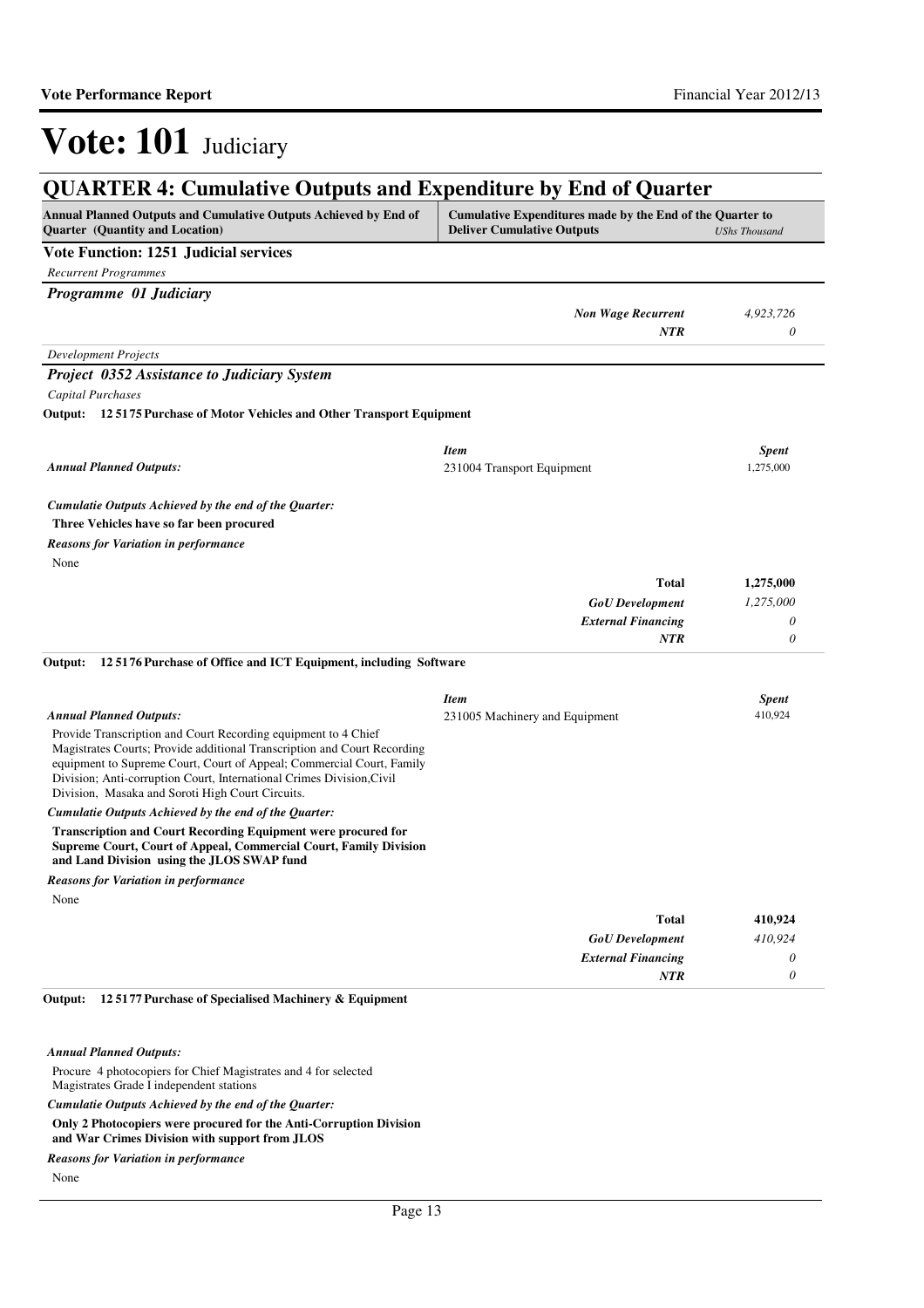| Annual Planned Outputs and Cumulative Outputs Achieved by End of<br>Quarter (Quantity and Location)                                        | Cumulative Expenditures made by the End of the Quarter to<br><b>Deliver Cumulative Outputs</b> | <b>UShs Thousand</b>  |
|--------------------------------------------------------------------------------------------------------------------------------------------|------------------------------------------------------------------------------------------------|-----------------------|
| <b>Vote Function: 1251 Judicial services</b>                                                                                               |                                                                                                |                       |
| <b>Recurrent Programmes</b>                                                                                                                |                                                                                                |                       |
| Programme 01 Judiciary                                                                                                                     |                                                                                                |                       |
|                                                                                                                                            | <b>Non Wage Recurrent</b>                                                                      | 4,923,726             |
|                                                                                                                                            | NTR                                                                                            | 0                     |
| <b>Development Projects</b>                                                                                                                |                                                                                                |                       |
| <b>Project 0352 Assistance to Judiciary System</b>                                                                                         |                                                                                                |                       |
| <b>Capital Purchases</b>                                                                                                                   |                                                                                                |                       |
| Output: 125175 Purchase of Motor Vehicles and Other Transport Equipment                                                                    |                                                                                                |                       |
|                                                                                                                                            |                                                                                                |                       |
|                                                                                                                                            | <b>Item</b>                                                                                    | <b>Spent</b>          |
| <b>Annual Planned Outputs:</b>                                                                                                             | 231004 Transport Equipment                                                                     | 1,275,000             |
|                                                                                                                                            |                                                                                                |                       |
| Cumulatie Outputs Achieved by the end of the Quarter:<br>Three Vehicles have so far been procured                                          |                                                                                                |                       |
|                                                                                                                                            |                                                                                                |                       |
| <b>Reasons for Variation in performance</b><br>None                                                                                        |                                                                                                |                       |
|                                                                                                                                            |                                                                                                |                       |
|                                                                                                                                            | Total                                                                                          | 1,275,000             |
|                                                                                                                                            | <b>GoU</b> Development                                                                         | 1,275,000             |
|                                                                                                                                            | <b>External Financing</b><br>NTR                                                               | 0<br>$\theta$         |
| 125176 Purchase of Office and ICT Equipment, including Software<br>Output:                                                                 |                                                                                                |                       |
|                                                                                                                                            |                                                                                                |                       |
|                                                                                                                                            | <b>Item</b>                                                                                    | <b>Spent</b>          |
| <b>Annual Planned Outputs:</b>                                                                                                             | 231005 Machinery and Equipment                                                                 | 410,924               |
| Provide Transcription and Court Recording equipment to 4 Chief<br>Magistrates Courts; Provide additional Transcription and Court Recording |                                                                                                |                       |
| equipment to Supreme Court, Court of Appeal; Commercial Court, Family                                                                      |                                                                                                |                       |
| Division; Anti-corruption Court, International Crimes Division, Civil                                                                      |                                                                                                |                       |
| Division, Masaka and Soroti High Court Circuits.                                                                                           |                                                                                                |                       |
| Cumulatie Outputs Achieved by the end of the Quarter:<br><b>Transcription and Court Recording Equipment were procured for</b>              |                                                                                                |                       |
| Supreme Court, Court of Appeal, Commercial Court, Family Division<br>and Land Division using the JLOS SWAP fund                            |                                                                                                |                       |
| <b>Reasons for Variation in performance</b>                                                                                                |                                                                                                |                       |
| None                                                                                                                                       |                                                                                                |                       |
|                                                                                                                                            | <b>Total</b>                                                                                   | 410,924               |
|                                                                                                                                            | <b>GoU</b> Development                                                                         | 410,924               |
|                                                                                                                                            | <b>External Financing</b>                                                                      | $\boldsymbol{\theta}$ |
|                                                                                                                                            | <b>NTR</b>                                                                                     | $\theta$              |

*Annual Planned Outputs:*

Procure 4 photocopiers for Chief Magistrates and 4 for selected Magistrates Grade I independent stations

*Cumulatie Outputs Achieved by the end of the Quarter:*

**Only 2 Photocopiers were procured for the Anti-Corruption Division and War Crimes Division with support from JLOS**

*Reasons for Variation in performance*

None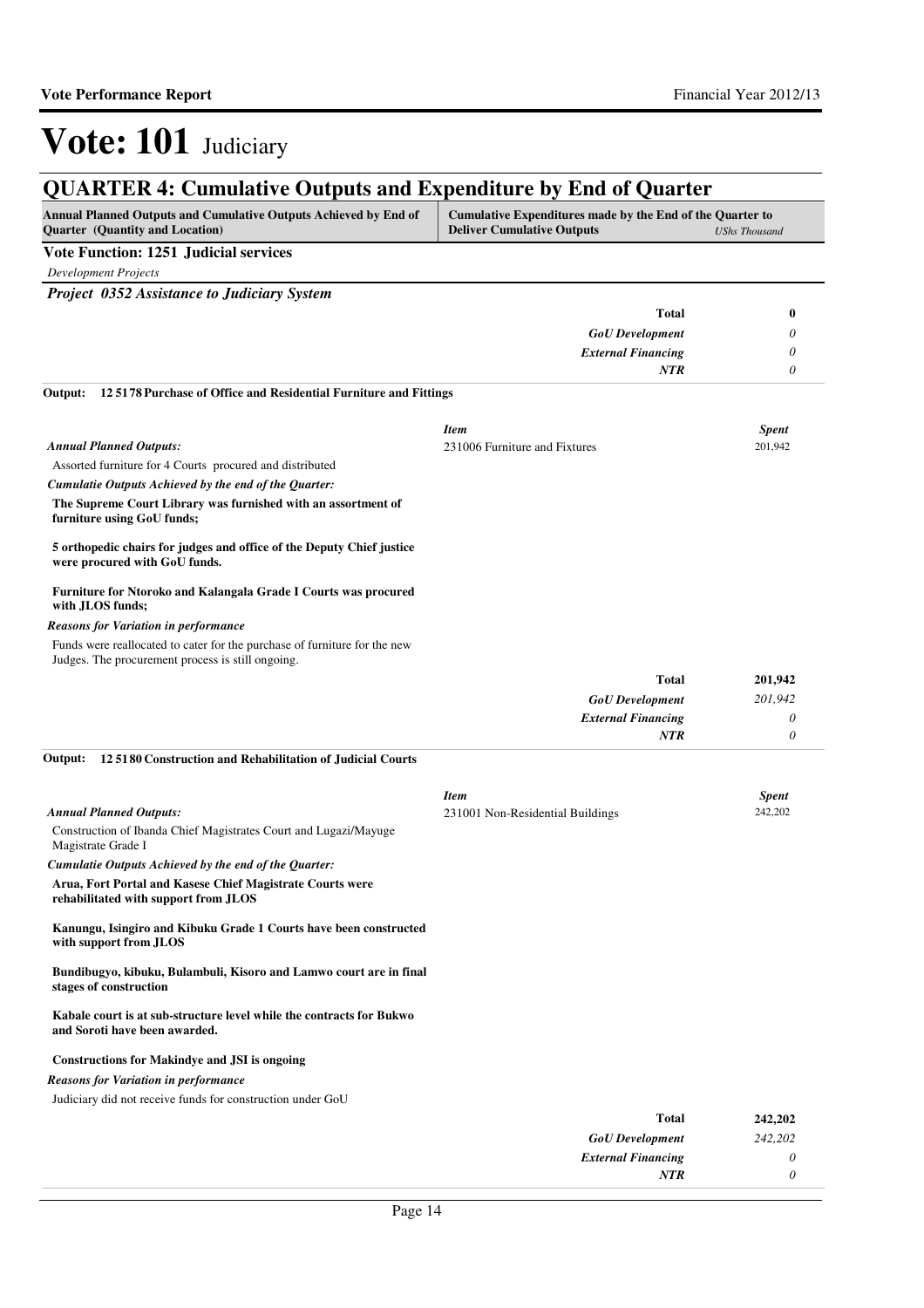*0*

*NTR*

# Vote: 101 Judiciary

| <b>QUARTER 4: Cumulative Outputs and Expenditure by End of Quarter</b>                                     |                                                                                                |                      |
|------------------------------------------------------------------------------------------------------------|------------------------------------------------------------------------------------------------|----------------------|
| Annual Planned Outputs and Cumulative Outputs Achieved by End of<br><b>Quarter</b> (Quantity and Location) | Cumulative Expenditures made by the End of the Quarter to<br><b>Deliver Cumulative Outputs</b> | <b>UShs Thousand</b> |
| Vote Function: 1251 Judicial services                                                                      |                                                                                                |                      |
| <b>Development Projects</b>                                                                                |                                                                                                |                      |
| <b>Project 0352 Assistance to Judiciary System</b>                                                         |                                                                                                |                      |
|                                                                                                            | <b>Total</b>                                                                                   | 0                    |
|                                                                                                            | <b>GoU</b> Development                                                                         | 0                    |
|                                                                                                            | <b>External Financing</b>                                                                      | 0                    |
|                                                                                                            | <b>NTR</b>                                                                                     | 0                    |
| 125178 Purchase of Office and Residential Furniture and Fittings<br>Output:                                | <b>Item</b>                                                                                    | <b>Spent</b>         |
| <b>Annual Planned Outputs:</b>                                                                             | 231006 Furniture and Fixtures                                                                  | 201,942              |
| Assorted furniture for 4 Courts procured and distributed                                                   |                                                                                                |                      |
| Cumulatie Outputs Achieved by the end of the Quarter:                                                      |                                                                                                |                      |
| The Supreme Court Library was furnished with an assortment of<br>furniture using GoU funds;                |                                                                                                |                      |
| 5 orthopedic chairs for judges and office of the Deputy Chief justice<br>were procured with GoU funds.     |                                                                                                |                      |
| Furniture for Ntoroko and Kalangala Grade I Courts was procured<br>with JLOS funds;                        |                                                                                                |                      |

#### *Reasons for Variation in performance*

Funds were reallocated to cater for the purchase of furniture for the new Judges. The procurement process is still ongoing.

| <b>Total</b>              | 201,942 |
|---------------------------|---------|
| <b>GoU</b> Development    | 201,942 |
| <b>External Financing</b> | 0       |
| <b>NTR</b>                |         |

#### **12 5180 Construction and Rehabilitation of Judicial Courts Output:**

|                                                                                                       | <b>Item</b>                      | <b>Spent</b> |
|-------------------------------------------------------------------------------------------------------|----------------------------------|--------------|
| <b>Annual Planned Outputs:</b>                                                                        | 231001 Non-Residential Buildings | 242,202      |
| Construction of Ibanda Chief Magistrates Court and Lugazi/Mayuge<br>Magistrate Grade I                |                                  |              |
| Cumulatie Outputs Achieved by the end of the Quarter:                                                 |                                  |              |
| Arua, Fort Portal and Kasese Chief Magistrate Courts were<br>rehabilitated with support from JLOS     |                                  |              |
| Kanungu, Isingiro and Kibuku Grade 1 Courts have been constructed<br>with support from JLOS           |                                  |              |
| Bundibugyo, kibuku, Bulambuli, Kisoro and Lamwo court are in final<br>stages of construction          |                                  |              |
| Kabale court is at sub-structure level while the contracts for Bukwo<br>and Soroti have been awarded. |                                  |              |
| <b>Constructions for Makindye and JSI is ongoing</b>                                                  |                                  |              |
| <b>Reasons for Variation in performance</b>                                                           |                                  |              |
| Judiciary did not receive funds for construction under GoU                                            |                                  |              |
|                                                                                                       | <b>Total</b>                     | 242,202      |
|                                                                                                       | <b>GoU</b> Development           | 242,202      |
|                                                                                                       | <b>External Financing</b>        | 0            |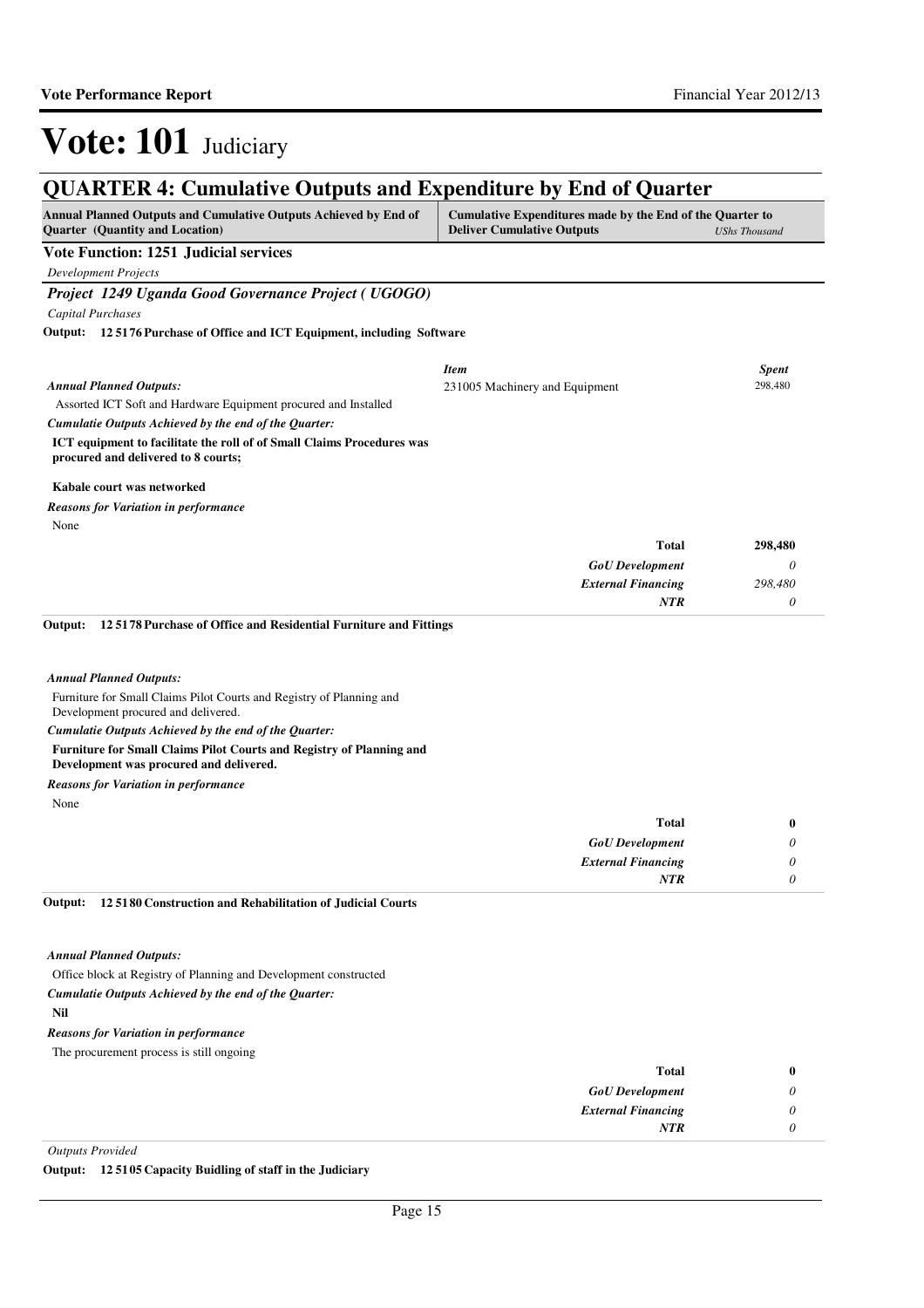*0*

*NTR*

# Vote: 101 Judiciary

#### **QUARTER 4: Cumulative Outputs and Expenditure by End of Quarter Annual Planned Outputs and Cumulative Outputs Achieved by End of Quarter (Quantity and Location) Cumulative Expenditures made by the End of the Quarter to Deliver Cumulative Outputs** *UShs Thousand* **Vote Function: 1251 Judicial services** *Development Projects Project 1249 Uganda Good Governance Project ( UGOGO) Capital Purchases* Assorted ICT Soft and Hardware Equipment procured and Installed **ICT equipment to facilitate the roll of of Small Claims Procedures was procured and delivered to 8 courts; Kabale court was networked 12 5176 Purchase of Office and ICT Equipment, including Software Output:** *GoU Development External Financing* **Total** *0 298,480 0* **298,480** *Cumulatie Outputs Achieved by the end of the Quarter: Annual Planned Outputs: NTR* None *Reasons for Variation in performance Item Spent* 231005 Machinery and Equipment 298,480 Furniture for Small Claims Pilot Courts and Registry of Planning and Development procured and delivered. **Furniture for Small Claims Pilot Courts and Registry of Planning and Development was procured and delivered. 12 5178 Purchase of Office and Residential Furniture and Fittings Output:** *GoU Development External Financing* **Total** *0 0 0* **0** *Cumulatie Outputs Achieved by the end of the Quarter: Annual Planned Outputs: NTR* None *Reasons for Variation in performance* Office block at Registry of Planning and Development constructed **Nil 12 5180 Construction and Rehabilitation of Judicial Courts**  *GoU Development External Financing* **Total** *0 0* **0** *Cumulatie Outputs Achieved by the end of the Quarter: Annual Planned Outputs:* **Output:** The procurement process is still ongoing *Reasons for Variation in performance*

*Outputs Provided*

**Output: 12 5105 Capacity Buidling of staff in the Judiciary**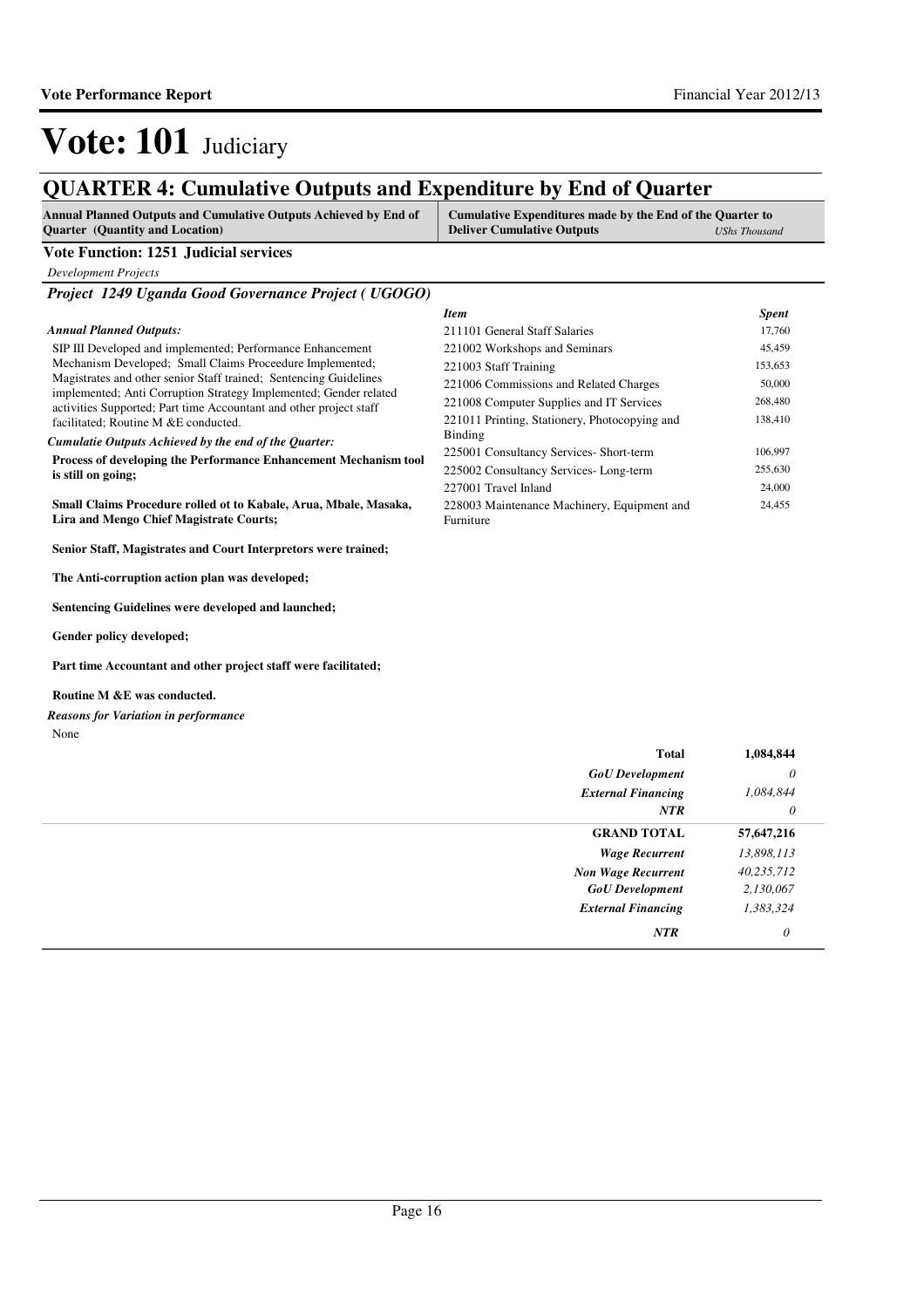138,410

24,455

*Item Spent* 211101 General Staff Salaries 17,760 221002 Workshops and Seminars 45,459 221003 Staff Training 153,653 221006 Commissions and Related Charges 50,000 221008 Computer Supplies and IT Services 268,480

225001 Consultancy Services- Short-term 106,997 225002 Consultancy Services- Long-term 255,630 227001 Travel Inland 24,000

221011 Printing, Stationery, Photocopying and

228003 Maintenance Machinery, Equipment and

# Vote: 101 Judiciary

### **QUARTER 4: Cumulative Outputs and Expenditure by End of Quarter**

| <b>Annual Planned Outputs and Cumulative Outputs Achieved by End of</b> | <b>Cumulative Expenditures made by the End of the Quarter to</b> |               |
|-------------------------------------------------------------------------|------------------------------------------------------------------|---------------|
| <b>Quarter</b> (Quantity and Location)                                  | <b>Deliver Cumulative Outputs</b>                                | UShs Thousand |

Binding

Furniture

#### **Vote Function: 1251 Judicial services**

*Development Projects*

*Project 1249 Uganda Good Governance Project ( UGOGO)*

#### *Annual Planned Outputs:*

SIP III Developed and implemented; Performance Enhancement Mechanism Developed; Small Claims Proceedure Implemented; Magistrates and other senior Staff trained; Sentencing Guidelines implemented; Anti Corruption Strategy Implemented; Gender related activities Supported; Part time Accountant and other project staff facilitated; Routine M &E conducted.

*Cumulatie Outputs Achieved by the end of the Quarter:*

**Process of developing the Performance Enhancement Mechanism tool is still on going;** 

**Small Claims Procedure rolled ot to Kabale, Arua, Mbale, Masaka, Lira and Mengo Chief Magistrate Courts;**

**Senior Staff, Magistrates and Court Interpretors were trained;** 

**The Anti-corruption action plan was developed;**

**Sentencing Guidelines were developed and launched;** 

**Gender policy developed;**

**Part time Accountant and other project staff were facilitated;** 

#### **Routine M &E was conducted.**

None *Reasons for Variation in performance*

| <b>Total</b>              | 1,084,844  |
|---------------------------|------------|
| <b>GoU</b> Development    | 0          |
| <b>External Financing</b> | 1,084,844  |
| <b>NTR</b>                | 0          |
| <b>GRAND TOTAL</b>        | 57,647,216 |
| <b>Wage Recurrent</b>     | 13,898,113 |
| <b>Non Wage Recurrent</b> | 40,235,712 |
| <b>GoU</b> Development    | 2,130,067  |
| <b>External Financing</b> | 1,383,324  |
| <b>NTR</b>                | $\theta$   |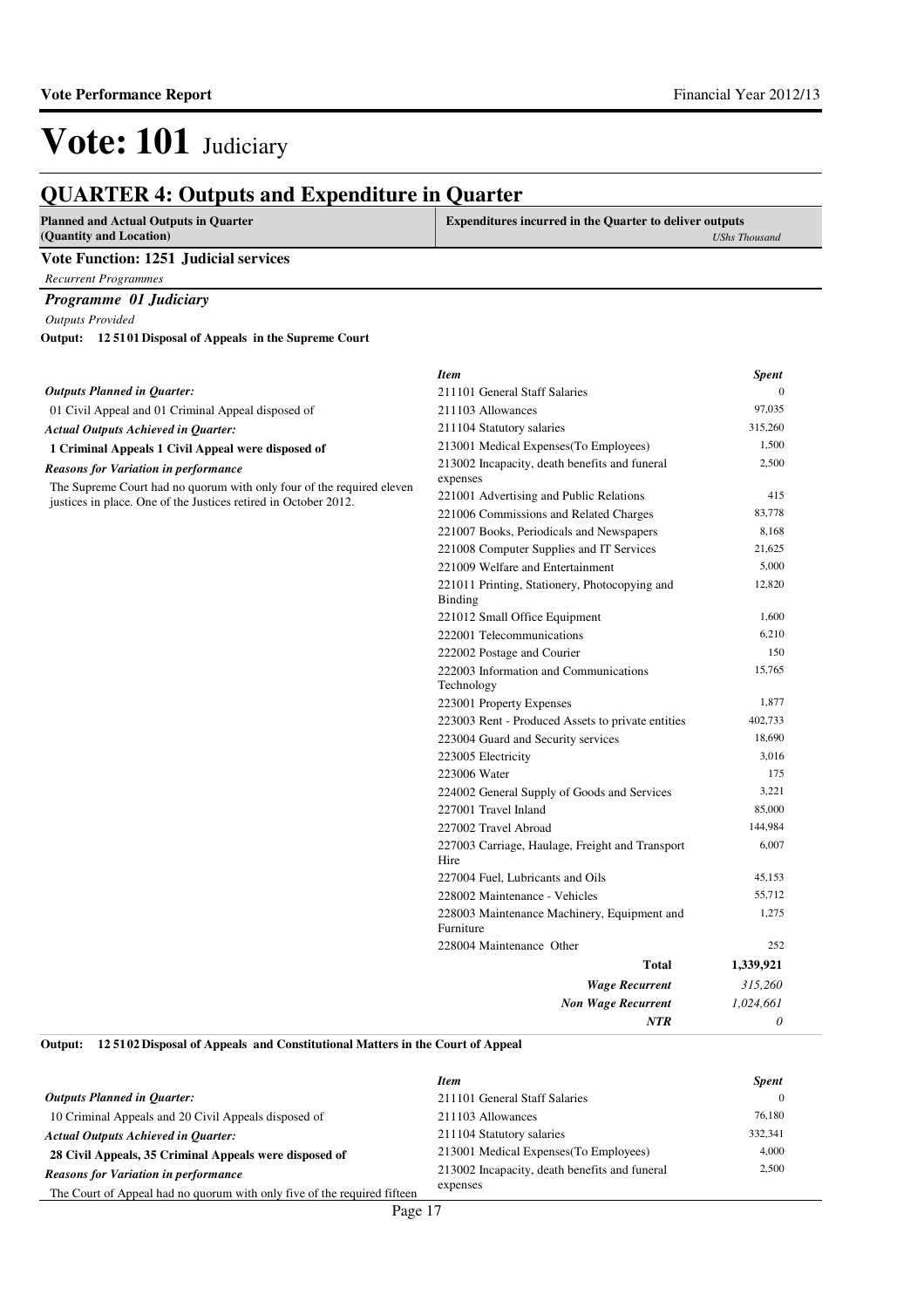**Planned and Actual Outputs in Quarter**

*0*

*NTR*

**Expenditures incurred in the Quarter to deliver outputs** 

### **QUARTER 4: Outputs and Expenditure in Quarter**

| (Quantity and Location)                                               |                                                                              | <b>UShs Thousand</b> |
|-----------------------------------------------------------------------|------------------------------------------------------------------------------|----------------------|
| <b>Vote Function: 1251 Judicial services</b>                          |                                                                              |                      |
| <b>Recurrent Programmes</b>                                           |                                                                              |                      |
| Programme 01 Judiciary                                                |                                                                              |                      |
| <b>Outputs Provided</b>                                               |                                                                              |                      |
| Output: 12 5101 Disposal of Appeals in the Supreme Court              |                                                                              |                      |
|                                                                       |                                                                              |                      |
|                                                                       | <b>Item</b>                                                                  | <b>Spent</b>         |
| <b>Outputs Planned in Quarter:</b>                                    | 211101 General Staff Salaries                                                | $\Omega$             |
| 01 Civil Appeal and 01 Criminal Appeal disposed of                    | 211103 Allowances                                                            | 97,035               |
| <b>Actual Outputs Achieved in Quarter:</b>                            | 211104 Statutory salaries                                                    | 315,260              |
| 1 Criminal Appeals 1 Civil Appeal were disposed of                    | 213001 Medical Expenses (To Employees)                                       | 1,500                |
| <b>Reasons for Variation in performance</b>                           | 213002 Incapacity, death benefits and funeral                                | 2,500                |
| The Supreme Court had no quorum with only four of the required eleven | expenses                                                                     |                      |
| justices in place. One of the Justices retired in October 2012.       | 221001 Advertising and Public Relations                                      | 415                  |
|                                                                       | 221006 Commissions and Related Charges                                       | 83,778<br>8,168      |
|                                                                       | 221007 Books, Periodicals and Newspapers                                     | 21,625               |
|                                                                       | 221008 Computer Supplies and IT Services<br>221009 Welfare and Entertainment | 5,000                |
|                                                                       | 221011 Printing, Stationery, Photocopying and                                | 12,820               |
|                                                                       | <b>Binding</b>                                                               |                      |
|                                                                       | 221012 Small Office Equipment                                                | 1,600                |
|                                                                       | 222001 Telecommunications                                                    | 6,210                |
|                                                                       | 222002 Postage and Courier                                                   | 150                  |
|                                                                       | 222003 Information and Communications<br>Technology                          | 15,765               |
|                                                                       | 223001 Property Expenses                                                     | 1,877                |
|                                                                       | 223003 Rent - Produced Assets to private entities                            | 402,733              |
|                                                                       | 223004 Guard and Security services                                           | 18,690               |
|                                                                       | 223005 Electricity                                                           | 3,016                |
|                                                                       | 223006 Water                                                                 | 175                  |
|                                                                       | 224002 General Supply of Goods and Services                                  | 3,221                |
|                                                                       | 227001 Travel Inland                                                         | 85,000               |
|                                                                       | 227002 Travel Abroad                                                         | 144,984              |
|                                                                       | 227003 Carriage, Haulage, Freight and Transport<br>Hire                      | 6,007                |
|                                                                       | 227004 Fuel, Lubricants and Oils                                             | 45,153               |
|                                                                       | 228002 Maintenance - Vehicles                                                | 55,712               |
|                                                                       | 228003 Maintenance Machinery, Equipment and<br>Furniture                     | 1,275                |
|                                                                       | 228004 Maintenance Other                                                     | 252                  |
|                                                                       | <b>Total</b>                                                                 | 1,339,921            |
|                                                                       | <b>Wage Recurrent</b>                                                        | 315,260              |
|                                                                       | <b>Non Wage Recurrent</b>                                                    | 1,024,661            |

**12 5102 Disposal of Appeals and Constitutional Matters in the Court of Appeal Output:**

|                                                                          | <b>Item</b>                                   | <b>Spent</b> |
|--------------------------------------------------------------------------|-----------------------------------------------|--------------|
| <b>Outputs Planned in Ouarter:</b>                                       | 211101 General Staff Salaries                 |              |
| 10 Criminal Appeals and 20 Civil Appeals disposed of                     | 211103 Allowances                             | 76.180       |
| <b>Actual Outputs Achieved in Ouarter:</b>                               | 211104 Statutory salaries                     | 332,341      |
| 28 Civil Appeals, 35 Criminal Appeals were disposed of                   | 213001 Medical Expenses (To Employees)        | 4,000        |
| <b>Reasons for Variation in performance</b>                              | 213002 Incapacity, death benefits and funeral | 2,500        |
| The Court of Appeal had no quorum with only five of the required fifteen | expenses                                      |              |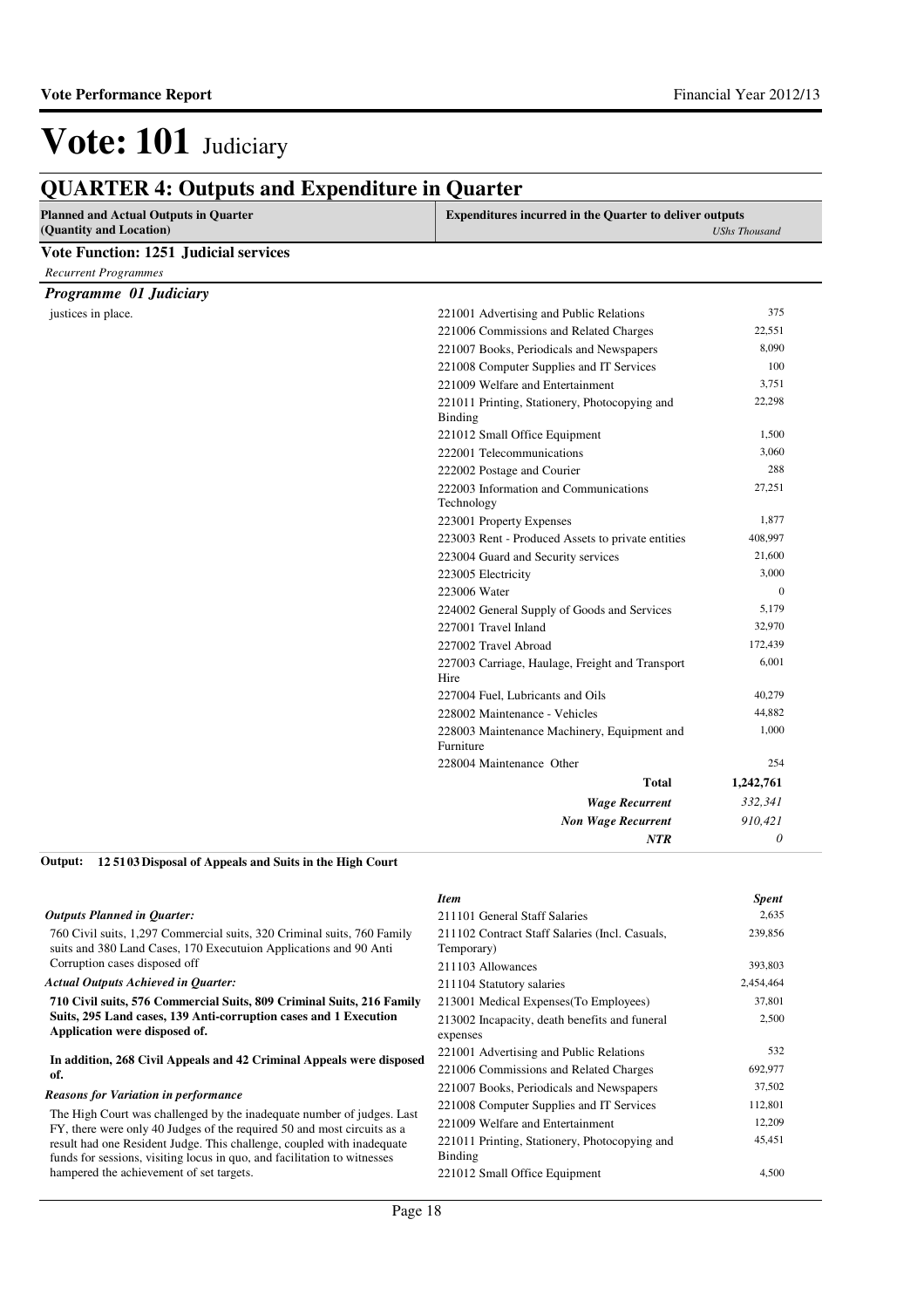| <b>Planned and Actual Outputs in Quarter</b><br>(Quantity and Location) | <b>Expenditures incurred in the Quarter to deliver outputs</b>  | <b>UShs Thousand</b> |
|-------------------------------------------------------------------------|-----------------------------------------------------------------|----------------------|
| <b>Vote Function: 1251 Judicial services</b>                            |                                                                 |                      |
| <b>Recurrent Programmes</b>                                             |                                                                 |                      |
| Programme 01 Judiciary                                                  |                                                                 |                      |
| justices in place.                                                      | 221001 Advertising and Public Relations                         | 375                  |
|                                                                         | 221006 Commissions and Related Charges                          | 22,551               |
|                                                                         | 221007 Books, Periodicals and Newspapers                        | 8,090                |
|                                                                         | 221008 Computer Supplies and IT Services                        | 100                  |
|                                                                         | 221009 Welfare and Entertainment                                | 3,751                |
|                                                                         | 221011 Printing, Stationery, Photocopying and<br><b>Binding</b> | 22,298               |
|                                                                         | 221012 Small Office Equipment                                   | 1,500                |
|                                                                         | 222001 Telecommunications                                       | 3,060                |
|                                                                         | 222002 Postage and Courier                                      | 288                  |
|                                                                         | 222003 Information and Communications<br>Technology             | 27,251               |
|                                                                         | 223001 Property Expenses                                        | 1,877                |
|                                                                         | 223003 Rent - Produced Assets to private entities               | 408,997              |
|                                                                         | 223004 Guard and Security services                              | 21,600               |
|                                                                         | 223005 Electricity                                              | 3,000                |
|                                                                         | 223006 Water                                                    | $\mathbf{0}$         |
|                                                                         | 224002 General Supply of Goods and Services                     | 5,179                |
|                                                                         | 227001 Travel Inland                                            | 32,970               |
|                                                                         | 227002 Travel Abroad                                            | 172,439              |
|                                                                         | 227003 Carriage, Haulage, Freight and Transport<br>Hire         | 6,001                |
|                                                                         | 227004 Fuel, Lubricants and Oils                                | 40,279               |
|                                                                         | 228002 Maintenance - Vehicles                                   | 44,882               |
|                                                                         | 228003 Maintenance Machinery, Equipment and<br>Furniture        | 1,000                |
|                                                                         | 228004 Maintenance Other                                        | 254                  |
|                                                                         | <b>Total</b>                                                    | 1,242,761            |
|                                                                         | <b>Wage Recurrent</b>                                           | 332,341              |
|                                                                         | <b>Non Wage Recurrent</b>                                       | 910,421              |
|                                                                         | <b>NTR</b>                                                      | $\theta$             |

**12 5103 Disposal of Appeals and Suits in the High Court Output:**

|                                                                                                                                                    | <b>Item</b>                                                  | <b>Spent</b> |
|----------------------------------------------------------------------------------------------------------------------------------------------------|--------------------------------------------------------------|--------------|
| <b>Outputs Planned in Quarter:</b>                                                                                                                 | 211101 General Staff Salaries                                | 2,635        |
| 760 Civil suits, 1,297 Commercial suits, 320 Criminal suits, 760 Family<br>suits and 380 Land Cases, 170 Executuion Applications and 90 Anti       | 211102 Contract Staff Salaries (Incl. Casuals,<br>Temporary) | 239,856      |
| Corruption cases disposed off                                                                                                                      | 211103 Allowances                                            | 393,803      |
| <b>Actual Outputs Achieved in Quarter:</b>                                                                                                         | 211104 Statutory salaries                                    | 2,454,464    |
| 710 Civil suits, 576 Commercial Suits, 809 Criminal Suits, 216 Family                                                                              | 213001 Medical Expenses (To Employees)                       | 37,801       |
| Suits, 295 Land cases, 139 Anti-corruption cases and 1 Execution<br>Application were disposed of.                                                  | 213002 Incapacity, death benefits and funeral                | 2,500        |
|                                                                                                                                                    | expenses                                                     |              |
| In addition, 268 Civil Appeals and 42 Criminal Appeals were disposed<br>of.                                                                        | 221001 Advertising and Public Relations                      | 532          |
|                                                                                                                                                    | 221006 Commissions and Related Charges                       | 692,977      |
| <b>Reasons for Variation in performance</b>                                                                                                        | 221007 Books, Periodicals and Newspapers                     | 37,502       |
|                                                                                                                                                    | 221008 Computer Supplies and IT Services                     | 112,801      |
| The High Court was challenged by the inadequate number of judges. Last<br>FY, there were only 40 Judges of the required 50 and most circuits as a  | 221009 Welfare and Entertainment                             | 12,209       |
| result had one Resident Judge. This challenge, coupled with inadequate<br>funds for sessions, visiting locus in quo, and facilitation to witnesses | 221011 Printing, Stationery, Photocopying and<br>Binding     | 45,451       |
| hampered the achievement of set targets.                                                                                                           | 221012 Small Office Equipment                                | 4,500        |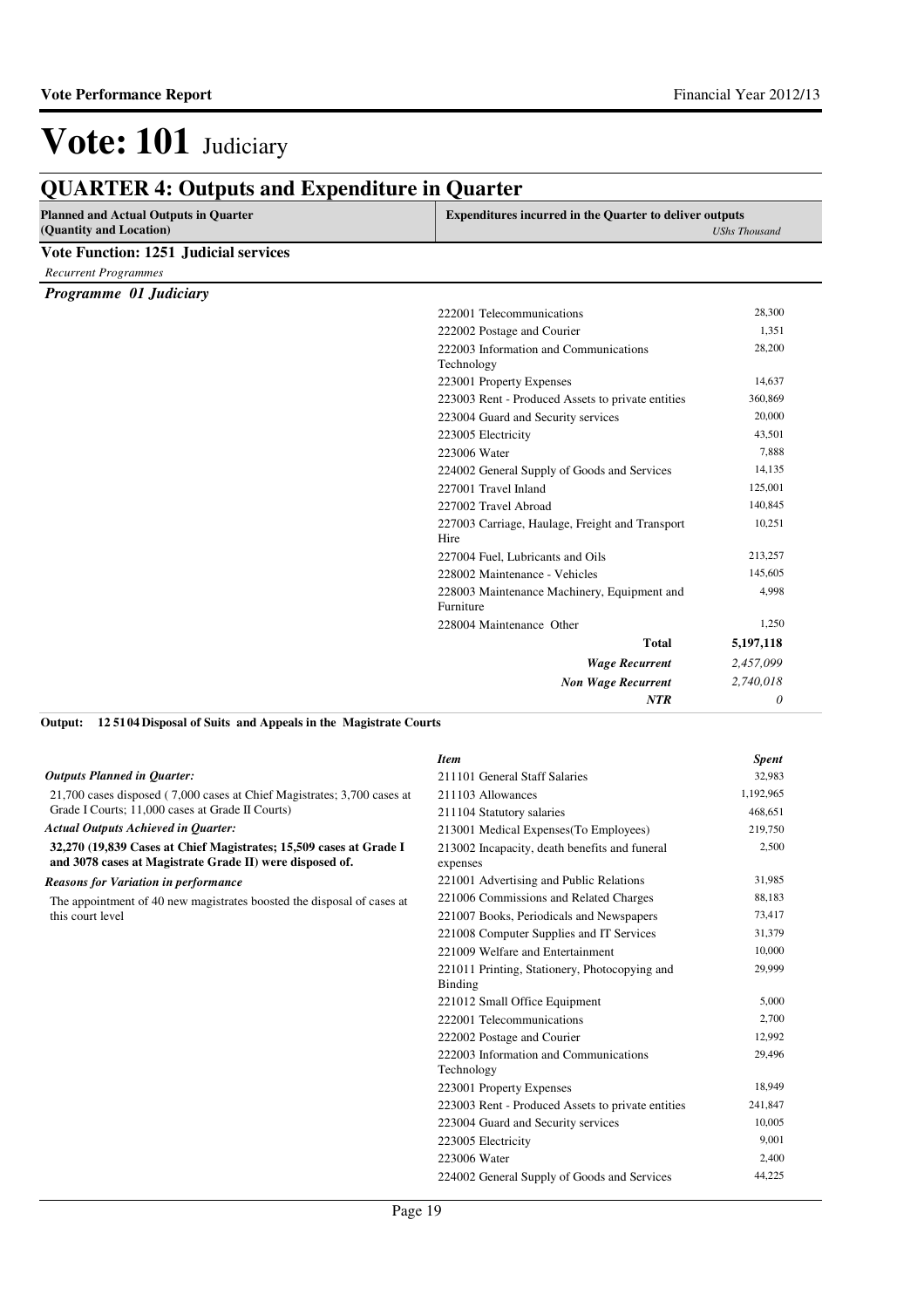| <b>Planned and Actual Outputs in Quarter</b> | <b>Expenditures incurred in the Quarter to deliver outputs</b> |                      |
|----------------------------------------------|----------------------------------------------------------------|----------------------|
| (Quantity and Location)                      |                                                                | <b>UShs Thousand</b> |
| <b>Vote Function: 1251 Judicial services</b> |                                                                |                      |
| <b>Recurrent Programmes</b>                  |                                                                |                      |
| Programme 01 Judiciary                       |                                                                |                      |
|                                              | 222001 Telecommunications                                      | 28,300               |
|                                              | 222002 Postage and Courier                                     | 1,351                |
|                                              | 222003 Information and Communications<br>Technology            | 28,200               |
|                                              | 223001 Property Expenses                                       | 14,637               |
|                                              | 223003 Rent - Produced Assets to private entities              | 360,869              |
|                                              | 223004 Guard and Security services                             | 20,000               |
|                                              | 223005 Electricity                                             | 43,501               |
|                                              | 223006 Water                                                   | 7,888                |
|                                              | 224002 General Supply of Goods and Services                    | 14,135               |
|                                              | 227001 Travel Inland                                           | 125,001              |
|                                              | 227002 Travel Abroad                                           | 140,845              |
|                                              | 227003 Carriage, Haulage, Freight and Transport<br>Hire        | 10,251               |
|                                              | 227004 Fuel, Lubricants and Oils                               | 213,257              |
|                                              | 228002 Maintenance - Vehicles                                  | 145,605              |
|                                              | 228003 Maintenance Machinery, Equipment and<br>Furniture       | 4.998                |
|                                              | 228004 Maintenance Other                                       | 1,250                |
|                                              | <b>Total</b>                                                   | 5,197,118            |
|                                              | <b>Wage Recurrent</b>                                          | 2,457,099            |
|                                              | <b>Non Wage Recurrent</b>                                      | 2,740,018            |
|                                              | <b>NTR</b>                                                     | $\theta$             |

#### **12 5104 Disposal of Suits and Appeals in the Magistrate Courts Output:**

|                                                                                                                                | <b>Item</b>                                               | <b>Spent</b> |
|--------------------------------------------------------------------------------------------------------------------------------|-----------------------------------------------------------|--------------|
| <b>Outputs Planned in Ouarter:</b>                                                                                             | 211101 General Staff Salaries                             | 32,983       |
| 21,700 cases disposed (7,000 cases at Chief Magistrates; 3,700 cases at                                                        | 211103 Allowances                                         | 1,192,965    |
| Grade I Courts; 11,000 cases at Grade II Courts)                                                                               | 211104 Statutory salaries                                 | 468,651      |
| <b>Actual Outputs Achieved in Quarter:</b>                                                                                     | 213001 Medical Expenses (To Employees)                    | 219,750      |
| 32,270 (19,839 Cases at Chief Magistrates; 15,509 cases at Grade I<br>and 3078 cases at Magistrate Grade II) were disposed of. | 213002 Incapacity, death benefits and funeral<br>expenses | 2,500        |
| <b>Reasons for Variation in performance</b>                                                                                    | 221001 Advertising and Public Relations                   | 31,985       |
| The appointment of 40 new magistrates boosted the disposal of cases at                                                         | 221006 Commissions and Related Charges                    | 88,183       |
| this court level                                                                                                               | 221007 Books, Periodicals and Newspapers                  | 73,417       |
|                                                                                                                                | 221008 Computer Supplies and IT Services                  | 31,379       |
|                                                                                                                                | 221009 Welfare and Entertainment                          | 10,000       |
|                                                                                                                                | 221011 Printing, Stationery, Photocopying and<br>Binding  | 29,999       |
|                                                                                                                                | 221012 Small Office Equipment                             | 5,000        |
|                                                                                                                                | 222001 Telecommunications                                 | 2,700        |
|                                                                                                                                | 222002 Postage and Courier                                | 12,992       |
|                                                                                                                                | 222003 Information and Communications<br>Technology       | 29,496       |
|                                                                                                                                | 223001 Property Expenses                                  | 18,949       |
|                                                                                                                                | 223003 Rent - Produced Assets to private entities         | 241,847      |
|                                                                                                                                | 223004 Guard and Security services                        | 10,005       |
|                                                                                                                                | 223005 Electricity                                        | 9,001        |
|                                                                                                                                | 223006 Water                                              | 2,400        |
|                                                                                                                                | 224002 General Supply of Goods and Services               | 44,225       |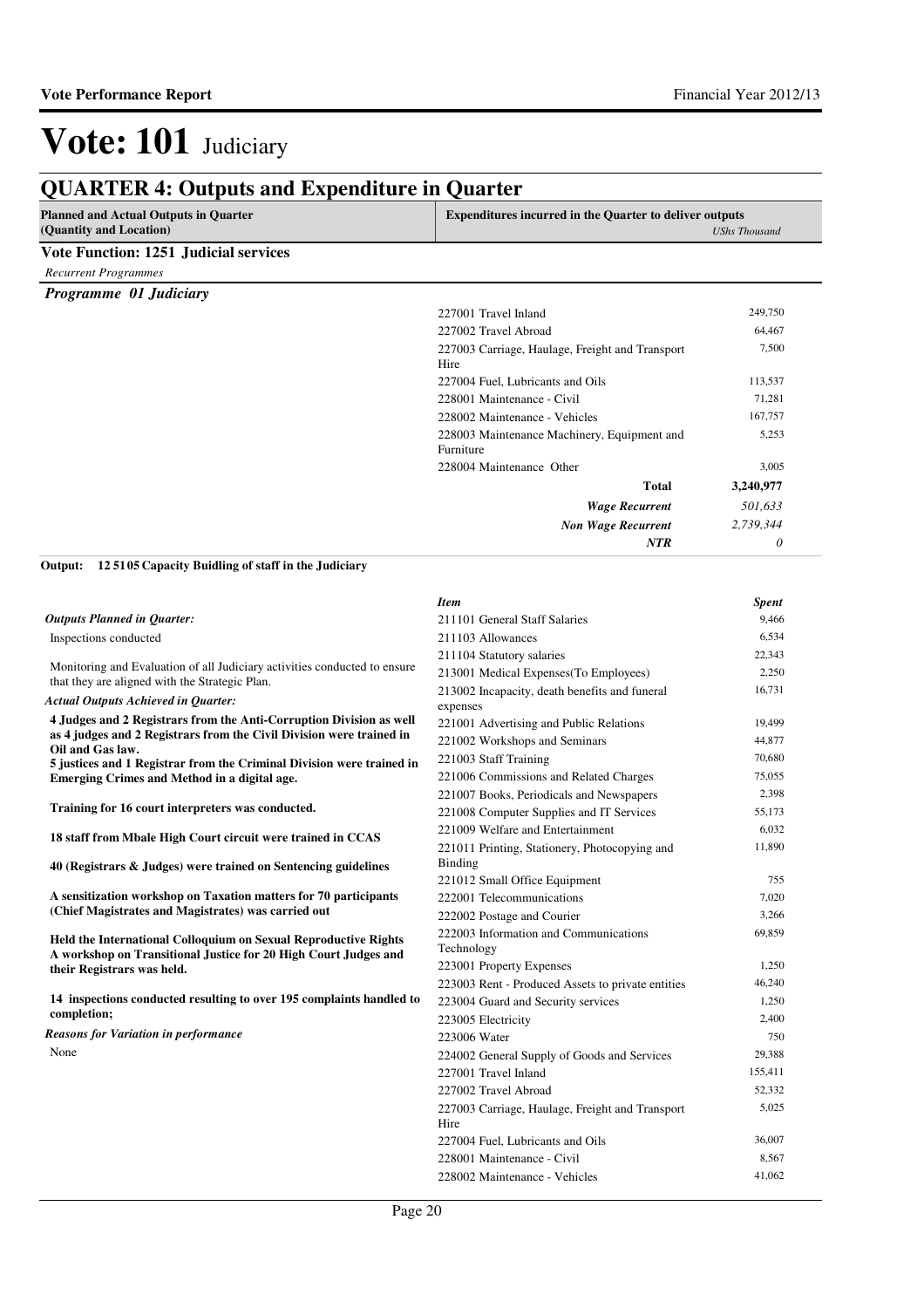| <b>Planned and Actual Outputs in Ouarter</b><br>(Quantity and Location)                                               | <b>Expenditures incurred in the Quarter to deliver outputs</b><br><b>UShs Thousand</b> |              |
|-----------------------------------------------------------------------------------------------------------------------|----------------------------------------------------------------------------------------|--------------|
| <b>Vote Function: 1251 Judicial services</b>                                                                          |                                                                                        |              |
| <b>Recurrent Programmes</b>                                                                                           |                                                                                        |              |
| Programme 01 Judiciary                                                                                                |                                                                                        |              |
|                                                                                                                       | 227001 Travel Inland                                                                   | 249,750      |
|                                                                                                                       | 227002 Travel Abroad                                                                   | 64,467       |
|                                                                                                                       | 227003 Carriage, Haulage, Freight and Transport<br>Hire                                | 7,500        |
|                                                                                                                       | 227004 Fuel, Lubricants and Oils                                                       | 113,537      |
|                                                                                                                       | 228001 Maintenance - Civil                                                             | 71,281       |
|                                                                                                                       | 228002 Maintenance - Vehicles                                                          | 167,757      |
|                                                                                                                       | 228003 Maintenance Machinery, Equipment and<br>Furniture                               | 5,253        |
|                                                                                                                       | 228004 Maintenance Other                                                               | 3,005        |
|                                                                                                                       | Total                                                                                  | 3,240,977    |
|                                                                                                                       | <b>Wage Recurrent</b>                                                                  | 501,633      |
|                                                                                                                       | <b>Non Wage Recurrent</b>                                                              | 2,739,344    |
|                                                                                                                       | <b>NTR</b>                                                                             | 0            |
| Output:<br>125105 Capacity Buidling of staff in the Judiciary                                                         |                                                                                        |              |
|                                                                                                                       | <b>Item</b>                                                                            | <b>Spent</b> |
| <b>Outputs Planned in Quarter:</b>                                                                                    | 211101 General Staff Salaries                                                          | 9,466        |
| Inspections conducted                                                                                                 | 211103 Allowances                                                                      | 6,534        |
| Monitoring and Evaluation of all Judiciary activities conducted to ensure                                             | 211104 Statutory salaries                                                              | 22,343       |
| that they are aligned with the Strategic Plan.                                                                        | 213001 Medical Expenses(To Employees)                                                  | 2,250        |
| <b>Actual Outputs Achieved in Quarter:</b>                                                                            | 213002 Incapacity, death benefits and funeral<br>expenses                              | 16,731       |
| 4 Judges and 2 Registrars from the Anti-Corruption Division as well                                                   | 221001 Advertising and Public Relations                                                | 19,499       |
| as 4 judges and 2 Registrars from the Civil Division were trained in                                                  | 221002 Workshops and Seminars                                                          | 44,877       |
| Oil and Gas law.                                                                                                      | 221003 Staff Training                                                                  | 70,680       |
| 5 justices and 1 Registrar from the Criminal Division were trained in<br>Emerging Crimes and Method in a digital age. | 221006 Commissions and Related Charges                                                 | 75,055       |
|                                                                                                                       | 221007 Books, Periodicals and Newspapers                                               | 2,398        |
| Training for 16 court interpreters was conducted.                                                                     | 221008 Computer Supplies and IT Services                                               | 55.173       |

**18 staff from Mbale High Court circuit were trained in CCAS** 

**40 (Registrars & Judges) were trained on Sentencing guidelines**

**A sensitization workshop on Taxation matters for 70 participants (Chief Magistrates and Magistrates) was carried out**

**Held the International Colloquium on Sexual Reproductive Rights A workshop on Transitional Justice for 20 High Court Judges and their Registrars was held.**

**14 inspections conducted resulting to over 195 complaints handled to completion;**

None *Reasons for Variation in performance*

| 211103 Allowances                                 | 0,334   |
|---------------------------------------------------|---------|
| 211104 Statutory salaries                         | 22,343  |
| 213001 Medical Expenses (To Employees)            | 2,250   |
| 213002 Incapacity, death benefits and funeral     | 16,731  |
| expenses                                          |         |
| 221001 Advertising and Public Relations           | 19,499  |
| 221002 Workshops and Seminars                     | 44,877  |
| 221003 Staff Training                             | 70,680  |
| 221006 Commissions and Related Charges            | 75,055  |
| 221007 Books, Periodicals and Newspapers          | 2,398   |
| 221008 Computer Supplies and IT Services          | 55,173  |
| 221009 Welfare and Entertainment                  | 6,032   |
| 221011 Printing, Stationery, Photocopying and     | 11,890  |
| Binding                                           |         |
| 221012 Small Office Equipment                     | 755     |
| 222001 Telecommunications                         | 7,020   |
| 222002 Postage and Courier                        | 3,266   |
| 222003 Information and Communications             | 69,859  |
| Technology                                        |         |
| 223001 Property Expenses                          | 1,250   |
| 223003 Rent - Produced Assets to private entities | 46,240  |
| 223004 Guard and Security services                | 1,250   |
| 223005 Electricity                                | 2,400   |
| 223006 Water                                      | 750     |
| 224002 General Supply of Goods and Services       | 29,388  |
| 227001 Travel Inland                              | 155,411 |
| 227002 Travel Abroad                              | 52,332  |
| 227003 Carriage, Haulage, Freight and Transport   | 5,025   |
| Hire                                              |         |
| 227004 Fuel, Lubricants and Oils                  | 36,007  |
| 228001 Maintenance - Civil                        | 8,567   |
| 228002 Maintenance - Vehicles                     | 41,062  |
|                                                   |         |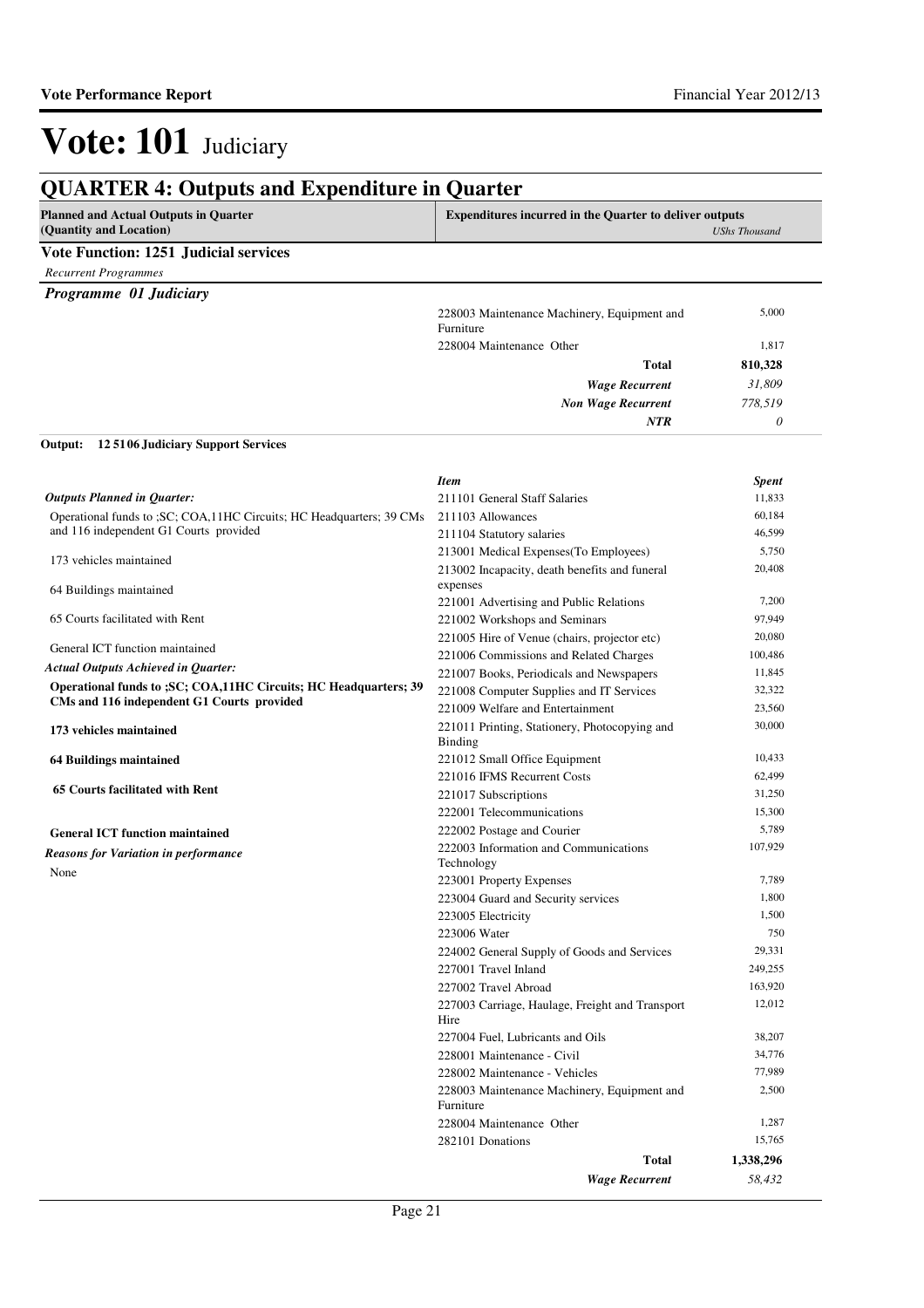*31,809 778,519 0*

*Wage Recurrent Non Wage Recurrent*

*NTR*

# Vote: 101 Judiciary

## **QUARTER 4: Outputs and Expenditure in Quarter**

| <b>Planned and Actual Outputs in Quarter</b> |                                                          | <b>Expenditures incurred in the Quarter to deliver outputs</b> |  |
|----------------------------------------------|----------------------------------------------------------|----------------------------------------------------------------|--|
| (Quantity and Location)                      |                                                          | UShs Thousand                                                  |  |
| Vote Function: 1251 Judicial services        |                                                          |                                                                |  |
| <b>Recurrent Programmes</b>                  |                                                          |                                                                |  |
| Programme 01 Judiciary                       |                                                          |                                                                |  |
|                                              | 228003 Maintenance Machinery, Equipment and<br>Furniture | 5,000                                                          |  |
|                                              | 228004 Maintenance Other                                 | 1,817                                                          |  |
|                                              | Total                                                    | 810,328                                                        |  |

#### **12 5106 Judiciary Support Services Output:**

|                                                                        | <b>Item</b>                                                     | Spent     |
|------------------------------------------------------------------------|-----------------------------------------------------------------|-----------|
| <b>Outputs Planned in Quarter:</b>                                     | 211101 General Staff Salaries                                   | 11,833    |
| Operational funds to ; SC; COA, 11HC Circuits; HC Headquarters; 39 CMs | 211103 Allowances                                               | 60,184    |
| and 116 independent G1 Courts provided                                 | 211104 Statutory salaries                                       | 46,599    |
| 173 vehicles maintained                                                | 213001 Medical Expenses (To Employees)                          | 5,750     |
|                                                                        | 213002 Incapacity, death benefits and funeral                   | 20,408    |
| 64 Buildings maintained                                                | expenses                                                        |           |
|                                                                        | 221001 Advertising and Public Relations                         | 7,200     |
| 65 Courts facilitated with Rent                                        | 221002 Workshops and Seminars                                   | 97,949    |
| General ICT function maintained                                        | 221005 Hire of Venue (chairs, projector etc)                    | 20,080    |
|                                                                        | 221006 Commissions and Related Charges                          | 100,486   |
| Actual Outputs Achieved in Quarter:                                    | 221007 Books, Periodicals and Newspapers                        | 11,845    |
| Operational funds to ; SC; COA, 11HC Circuits; HC Headquarters; 39     | 221008 Computer Supplies and IT Services                        | 32,322    |
| CMs and 116 independent G1 Courts provided                             | 221009 Welfare and Entertainment                                | 23,560    |
| 173 vehicles maintained                                                | 221011 Printing, Stationery, Photocopying and<br><b>Binding</b> | 30,000    |
| <b>64 Buildings maintained</b>                                         | 221012 Small Office Equipment                                   | 10,433    |
|                                                                        | 221016 IFMS Recurrent Costs                                     | 62,499    |
| <b>65 Courts facilitated with Rent</b>                                 | 221017 Subscriptions                                            | 31,250    |
|                                                                        | 222001 Telecommunications                                       | 15,300    |
| <b>General ICT function maintained</b>                                 | 222002 Postage and Courier                                      | 5,789     |
| <b>Reasons for Variation in performance</b>                            | 222003 Information and Communications<br>Technology             | 107,929   |
| None                                                                   | 223001 Property Expenses                                        | 7.789     |
|                                                                        | 223004 Guard and Security services                              | 1,800     |
|                                                                        | 223005 Electricity                                              | 1,500     |
|                                                                        | 223006 Water                                                    | 750       |
|                                                                        | 224002 General Supply of Goods and Services                     | 29,331    |
|                                                                        | 227001 Travel Inland                                            | 249,255   |
|                                                                        | 227002 Travel Abroad                                            | 163,920   |
|                                                                        | 227003 Carriage, Haulage, Freight and Transport<br>Hire         | 12,012    |
|                                                                        | 227004 Fuel, Lubricants and Oils                                | 38,207    |
|                                                                        | 228001 Maintenance - Civil                                      | 34,776    |
|                                                                        | 228002 Maintenance - Vehicles                                   | 77,989    |
|                                                                        | 228003 Maintenance Machinery, Equipment and<br>Furniture        | 2,500     |
|                                                                        | 228004 Maintenance Other                                        | 1,287     |
|                                                                        | 282101 Donations                                                | 15,765    |
|                                                                        | Total                                                           | 1,338,296 |
|                                                                        | <b>Wage Recurrent</b>                                           | 58.432    |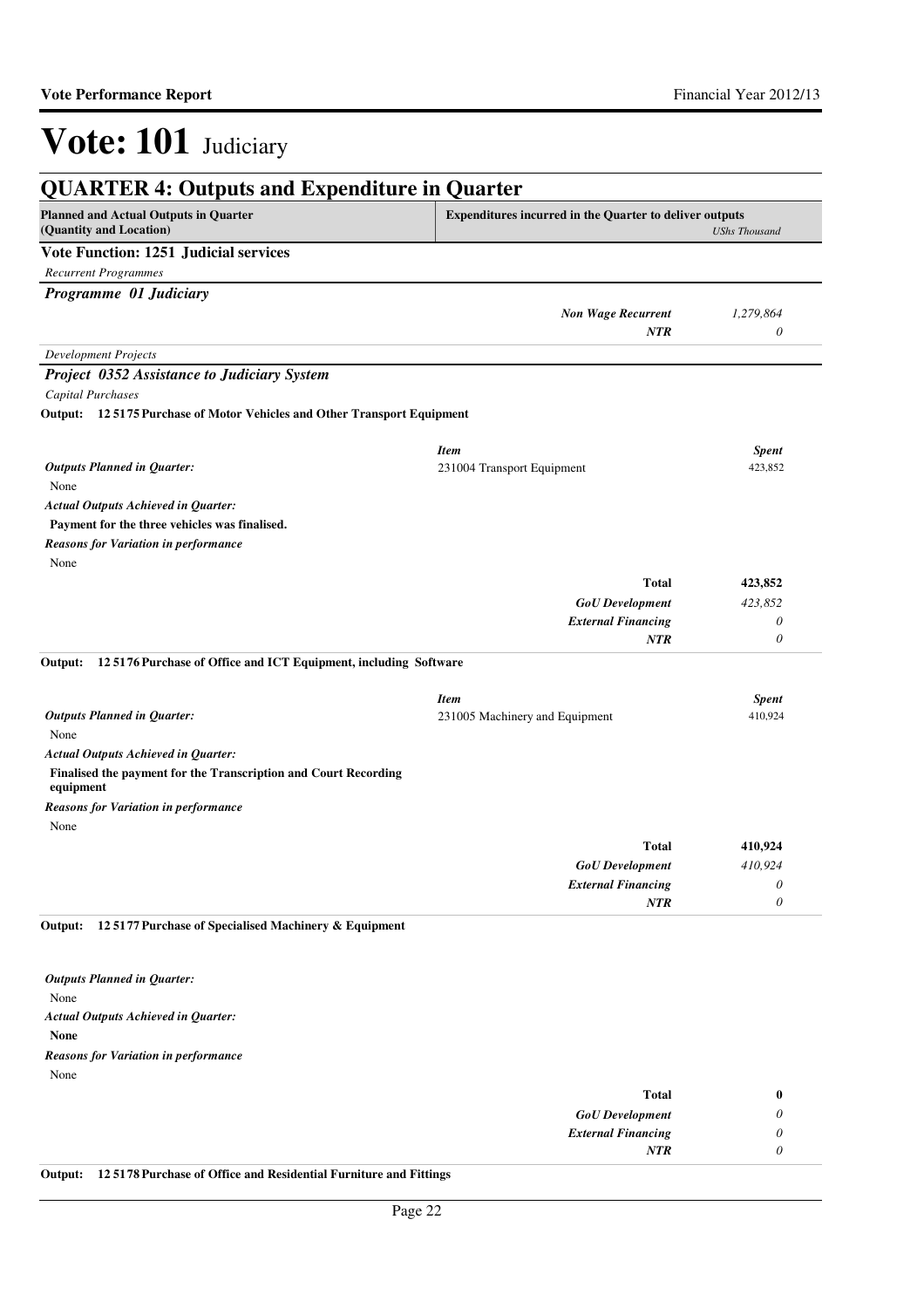| <b>QUARTER 4: Outputs and Expenditure in Quarter</b>                                                                                      |                                         |                      |
|-------------------------------------------------------------------------------------------------------------------------------------------|-----------------------------------------|----------------------|
| <b>Planned and Actual Outputs in Quarter</b><br><b>Expenditures incurred in the Quarter to deliver outputs</b><br>(Quantity and Location) |                                         | <b>UShs Thousand</b> |
| <b>Vote Function: 1251 Judicial services</b>                                                                                              |                                         |                      |
| <b>Recurrent Programmes</b>                                                                                                               |                                         |                      |
| Programme 01 Judiciary                                                                                                                    |                                         |                      |
|                                                                                                                                           | <b>Non Wage Recurrent</b><br><b>NTR</b> | 1,279,864<br>0       |
| <b>Development Projects</b>                                                                                                               |                                         |                      |
| Project 0352 Assistance to Judiciary System                                                                                               |                                         |                      |
| Capital Purchases                                                                                                                         |                                         |                      |
| Output: 125175 Purchase of Motor Vehicles and Other Transport Equipment                                                                   |                                         |                      |
|                                                                                                                                           | <b>Item</b>                             | <b>Spent</b>         |
| <b>Outputs Planned in Quarter:</b>                                                                                                        | 231004 Transport Equipment              | 423,852              |
| None                                                                                                                                      |                                         |                      |
| <b>Actual Outputs Achieved in Quarter:</b>                                                                                                |                                         |                      |
| Payment for the three vehicles was finalised.                                                                                             |                                         |                      |
| <b>Reasons for Variation in performance</b>                                                                                               |                                         |                      |
| None                                                                                                                                      |                                         |                      |
|                                                                                                                                           | <b>Total</b>                            | 423,852              |
|                                                                                                                                           | <b>GoU</b> Development                  | 423,852              |
|                                                                                                                                           | <b>External Financing</b><br><b>NTR</b> | $\theta$<br>$\theta$ |
| 12 5176 Purchase of Office and ICT Equipment, including Software<br>Output:                                                               | <b>Item</b>                             | <b>Spent</b>         |
| <b>Outputs Planned in Quarter:</b>                                                                                                        | 231005 Machinery and Equipment          | 410,924              |
| None                                                                                                                                      |                                         |                      |
| <b>Actual Outputs Achieved in Quarter:</b>                                                                                                |                                         |                      |
| Finalised the payment for the Transcription and Court Recording<br>equipment                                                              |                                         |                      |
| <b>Reasons for Variation in performance</b><br>None                                                                                       |                                         |                      |
|                                                                                                                                           | <b>Total</b>                            | 410,924              |
|                                                                                                                                           | <b>GoU</b> Development                  | 410,924              |
|                                                                                                                                           | <b>External Financing</b>               | $\theta$             |
|                                                                                                                                           | <b>NTR</b>                              | $\theta$             |
| 12 5177 Purchase of Specialised Machinery & Equipment<br>Output:                                                                          |                                         |                      |
| <b>Outputs Planned in Quarter:</b>                                                                                                        |                                         |                      |
| None                                                                                                                                      |                                         |                      |
| <b>Actual Outputs Achieved in Quarter:</b>                                                                                                |                                         |                      |
| <b>None</b>                                                                                                                               |                                         |                      |
| <b>Reasons for Variation in performance</b>                                                                                               |                                         |                      |
| None                                                                                                                                      |                                         |                      |
|                                                                                                                                           | <b>Total</b>                            | $\bf{0}$             |
|                                                                                                                                           | <b>GoU</b> Development                  | $\theta$             |
|                                                                                                                                           |                                         |                      |

| <b>External Financing</b> |  |
|---------------------------|--|
|                           |  |
| - - ---<br>_____          |  |

**Output: 12 5178 Purchase of Office and Residential Furniture and Fittings**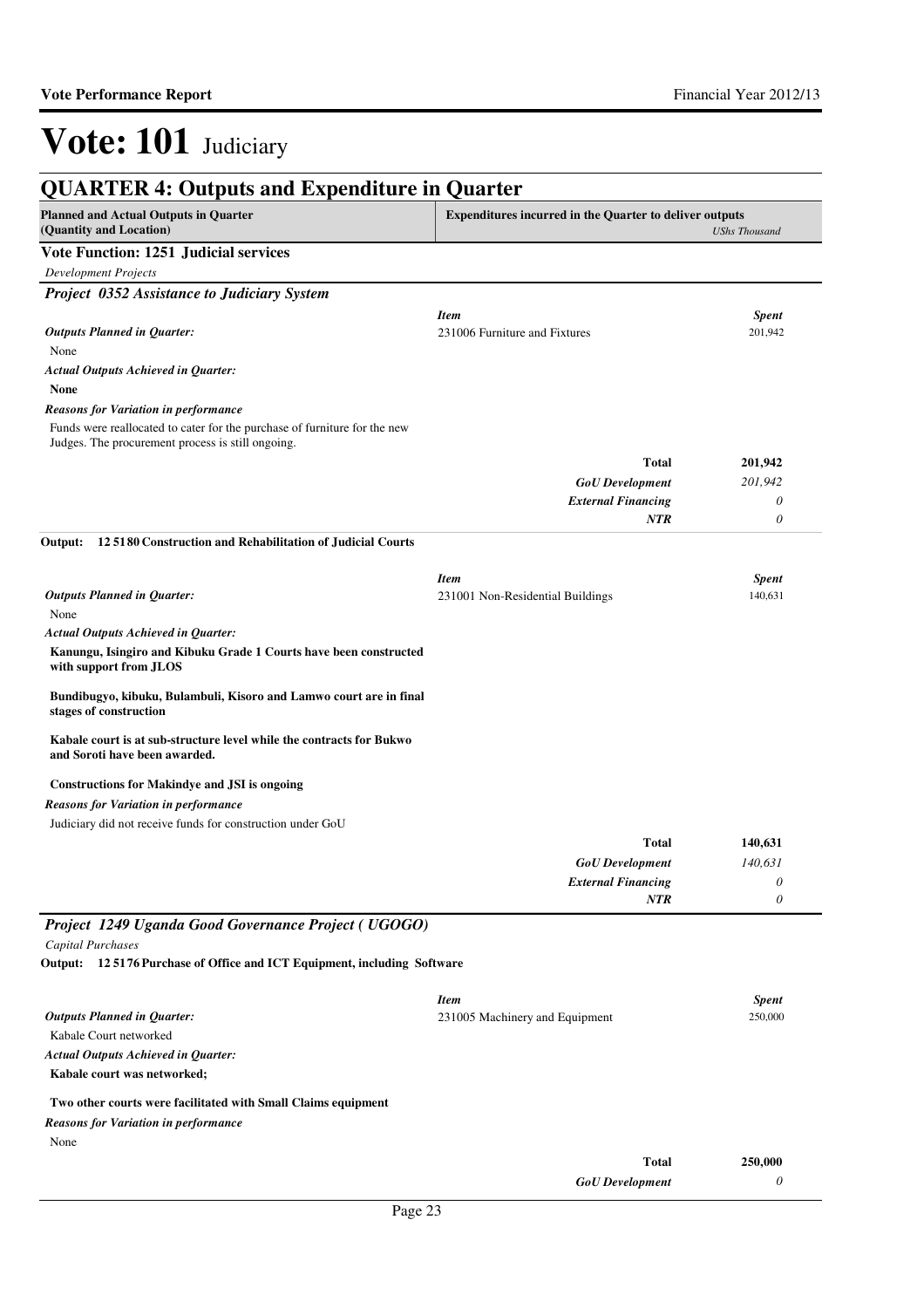| <b>QUARTER 4: Outputs and Expenditure in Quarter</b>                                                                                                                                                                                          |                                                                |                      |
|-----------------------------------------------------------------------------------------------------------------------------------------------------------------------------------------------------------------------------------------------|----------------------------------------------------------------|----------------------|
| <b>Planned and Actual Outputs in Quarter</b><br>(Quantity and Location)                                                                                                                                                                       | <b>Expenditures incurred in the Quarter to deliver outputs</b> | <b>UShs Thousand</b> |
| Vote Function: 1251 Judicial services                                                                                                                                                                                                         |                                                                |                      |
| <b>Development Projects</b>                                                                                                                                                                                                                   |                                                                |                      |
| Project 0352 Assistance to Judiciary System                                                                                                                                                                                                   |                                                                |                      |
|                                                                                                                                                                                                                                               | <b>Item</b>                                                    | <b>Spent</b>         |
| <b>Outputs Planned in Quarter:</b><br>None                                                                                                                                                                                                    | 231006 Furniture and Fixtures                                  | 201,942              |
| <b>Actual Outputs Achieved in Quarter:</b>                                                                                                                                                                                                    |                                                                |                      |
| <b>None</b>                                                                                                                                                                                                                                   |                                                                |                      |
| <b>Reasons for Variation in performance</b>                                                                                                                                                                                                   |                                                                |                      |
| Funds were reallocated to cater for the purchase of furniture for the new<br>Judges. The procurement process is still ongoing.                                                                                                                |                                                                |                      |
|                                                                                                                                                                                                                                               | <b>Total</b>                                                   | 201,942              |
|                                                                                                                                                                                                                                               | <b>GoU</b> Development                                         | 201,942              |
|                                                                                                                                                                                                                                               | <b>External Financing</b>                                      | $\theta$             |
|                                                                                                                                                                                                                                               | NTR                                                            | $\theta$             |
| 12 5180 Construction and Rehabilitation of Judicial Courts<br>Output:                                                                                                                                                                         |                                                                |                      |
|                                                                                                                                                                                                                                               | <b>Item</b>                                                    | <b>Spent</b>         |
| <b>Outputs Planned in Quarter:</b>                                                                                                                                                                                                            | 231001 Non-Residential Buildings                               | 140,631              |
| None                                                                                                                                                                                                                                          |                                                                |                      |
| <b>Actual Outputs Achieved in Quarter:</b>                                                                                                                                                                                                    |                                                                |                      |
| Kanungu, Isingiro and Kibuku Grade 1 Courts have been constructed<br>with support from JLOS                                                                                                                                                   |                                                                |                      |
| Bundibugyo, kibuku, Bulambuli, Kisoro and Lamwo court are in final<br>stages of construction                                                                                                                                                  |                                                                |                      |
| Kabale court is at sub-structure level while the contracts for Bukwo                                                                                                                                                                          |                                                                |                      |
| and Soroti have been awarded.                                                                                                                                                                                                                 |                                                                |                      |
|                                                                                                                                                                                                                                               |                                                                |                      |
| <b>Constructions for Makindye and JSI is ongoing</b>                                                                                                                                                                                          |                                                                |                      |
|                                                                                                                                                                                                                                               |                                                                |                      |
| Judiciary did not receive funds for construction under GoU                                                                                                                                                                                    |                                                                |                      |
|                                                                                                                                                                                                                                               | <b>Total</b>                                                   | 140,631              |
|                                                                                                                                                                                                                                               | <b>GoU</b> Development                                         | 140,631<br>$\theta$  |
|                                                                                                                                                                                                                                               | <b>External Financing</b><br>NTR                               | $\theta$             |
|                                                                                                                                                                                                                                               |                                                                |                      |
|                                                                                                                                                                                                                                               |                                                                |                      |
| <b>Capital Purchases</b>                                                                                                                                                                                                                      |                                                                |                      |
| <b>Reasons for Variation in performance</b>                                                                                                                                                                                                   | <b>Item</b>                                                    | <b>Spent</b>         |
|                                                                                                                                                                                                                                               | 231005 Machinery and Equipment                                 | 250,000              |
| Kabale Court networked                                                                                                                                                                                                                        |                                                                |                      |
|                                                                                                                                                                                                                                               |                                                                |                      |
| <b>Outputs Planned in Quarter:</b><br>Kabale court was networked;                                                                                                                                                                             |                                                                |                      |
| Project 1249 Uganda Good Governance Project (UGOGO)<br>Output: 125176 Purchase of Office and ICT Equipment, including Software<br><b>Actual Outputs Achieved in Quarter:</b><br>Two other courts were facilitated with Small Claims equipment |                                                                |                      |
| Reasons for Variation in performance                                                                                                                                                                                                          |                                                                |                      |
| None                                                                                                                                                                                                                                          | <b>Total</b>                                                   | 250,000              |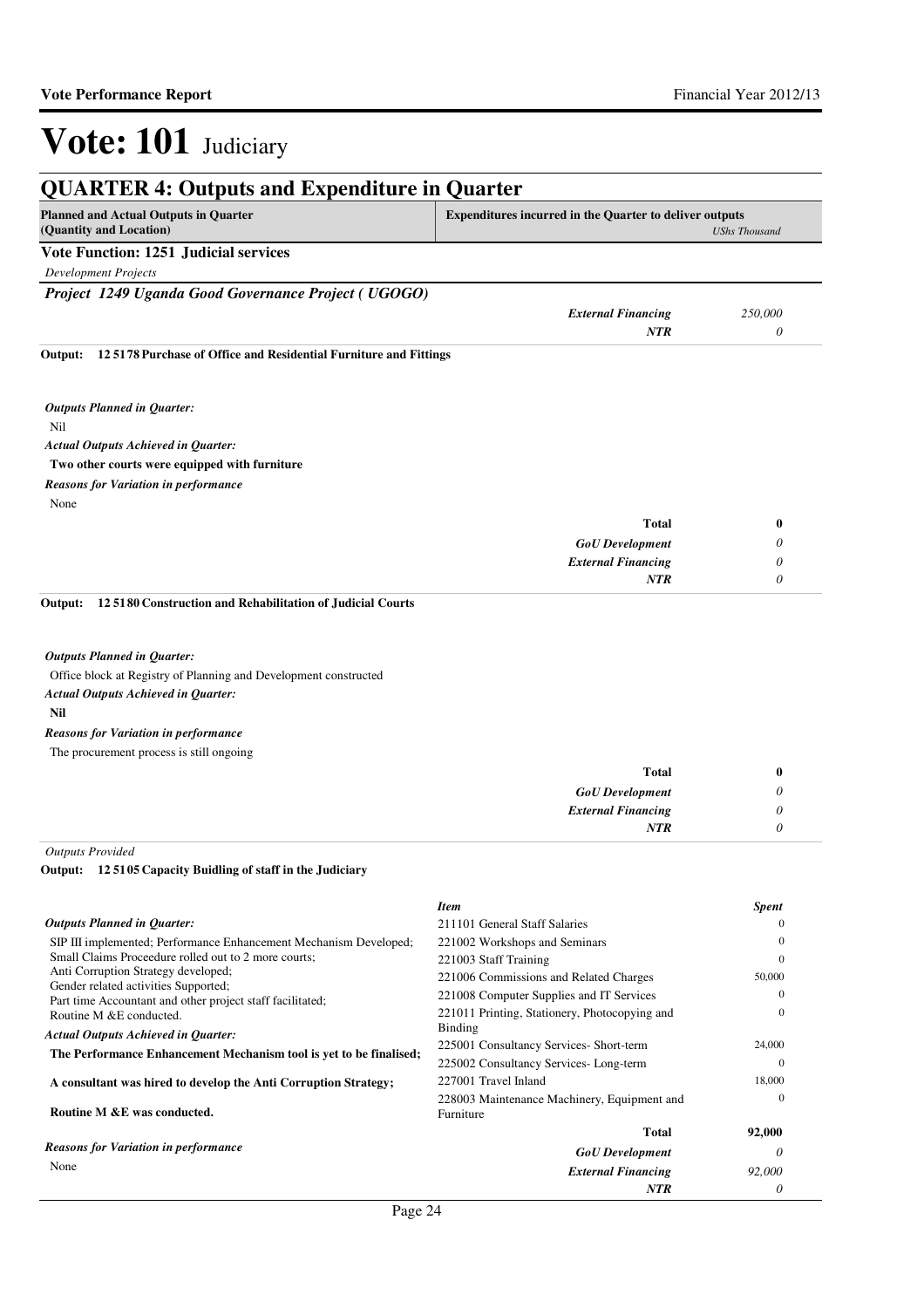| <b>QUARTER 4: Outputs and Expenditure in Quarter</b>                                        |                                                                                        |                  |
|---------------------------------------------------------------------------------------------|----------------------------------------------------------------------------------------|------------------|
| <b>Planned and Actual Outputs in Quarter</b><br>(Quantity and Location)                     | <b>Expenditures incurred in the Quarter to deliver outputs</b><br><b>UShs Thousand</b> |                  |
| <b>Vote Function: 1251 Judicial services</b>                                                |                                                                                        |                  |
| <b>Development Projects</b>                                                                 |                                                                                        |                  |
| Project 1249 Uganda Good Governance Project (UGOGO)                                         |                                                                                        |                  |
|                                                                                             | <b>External Financing</b>                                                              | 250,000          |
|                                                                                             | <b>NTR</b>                                                                             | 0                |
| 125178 Purchase of Office and Residential Furniture and Fittings<br>Output:                 |                                                                                        |                  |
| <b>Outputs Planned in Quarter:</b>                                                          |                                                                                        |                  |
| Nil                                                                                         |                                                                                        |                  |
| <b>Actual Outputs Achieved in Quarter:</b>                                                  |                                                                                        |                  |
| Two other courts were equipped with furniture                                               |                                                                                        |                  |
| <b>Reasons for Variation in performance</b>                                                 |                                                                                        |                  |
| None                                                                                        |                                                                                        |                  |
|                                                                                             | <b>Total</b>                                                                           | 0                |
|                                                                                             | <b>GoU</b> Development                                                                 | 0                |
|                                                                                             | <b>External Financing</b>                                                              | 0                |
|                                                                                             | <b>NTR</b>                                                                             | 0                |
| Output:<br>125180 Construction and Rehabilitation of Judicial Courts                        |                                                                                        |                  |
| <b>Outputs Planned in Quarter:</b>                                                          |                                                                                        |                  |
| Office block at Registry of Planning and Development constructed                            |                                                                                        |                  |
| <b>Actual Outputs Achieved in Quarter:</b>                                                  |                                                                                        |                  |
| Nil                                                                                         |                                                                                        |                  |
| <b>Reasons for Variation in performance</b>                                                 |                                                                                        |                  |
| The procurement process is still ongoing                                                    |                                                                                        |                  |
|                                                                                             | <b>Total</b>                                                                           | 0                |
|                                                                                             | <b>GoU</b> Development                                                                 | 0                |
|                                                                                             | <b>External Financing</b>                                                              | 0                |
|                                                                                             | <b>NTR</b>                                                                             | 0                |
| <b>Outputs Provided</b>                                                                     |                                                                                        |                  |
| Output: 12 5105 Capacity Buidling of staff in the Judiciary                                 |                                                                                        |                  |
|                                                                                             | <b>Item</b>                                                                            | <b>Spent</b>     |
| <b>Outputs Planned in Quarter:</b>                                                          | 211101 General Staff Salaries                                                          |                  |
| SIP III implemented; Performance Enhancement Mechanism Developed;                           | 221002 Workshops and Seminars                                                          | $\mathbf{0}$     |
| Small Claims Proceedure rolled out to 2 more courts;<br>Anti Corruption Strategy developed; | 221003 Staff Training                                                                  | $\mathbf{0}$     |
| Gender related activities Supported;                                                        | 221006 Commissions and Related Charges                                                 | 50,000           |
| Part time Accountant and other project staff facilitated;                                   | 221008 Computer Supplies and IT Services                                               | $\mathbf{0}$     |
| Routine M &E conducted.                                                                     | 221011 Printing, Stationery, Photocopying and<br>Binding                               | $\mathbf{0}$     |
| <b>Actual Outputs Achieved in Quarter:</b>                                                  | 225001 Consultancy Services- Short-term                                                | 24,000           |
| The Performance Enhancement Mechanism tool is yet to be finalised;                          | 225002 Consultancy Services-Long-term                                                  | $\boldsymbol{0}$ |
| A consultant was hired to develop the Anti Corruption Strategy;                             | 227001 Travel Inland                                                                   | 18,000           |
| Routine M &E was conducted.                                                                 | 228003 Maintenance Machinery, Equipment and<br>Furniture                               | $\mathbf{0}$     |
|                                                                                             | <b>Total</b>                                                                           | 92,000           |
| <b>Reasons for Variation in performance</b>                                                 | <b>GoU</b> Development                                                                 | 0                |
| None                                                                                        | <b>External Financing</b>                                                              | 92,000           |
|                                                                                             | NTR                                                                                    | 0                |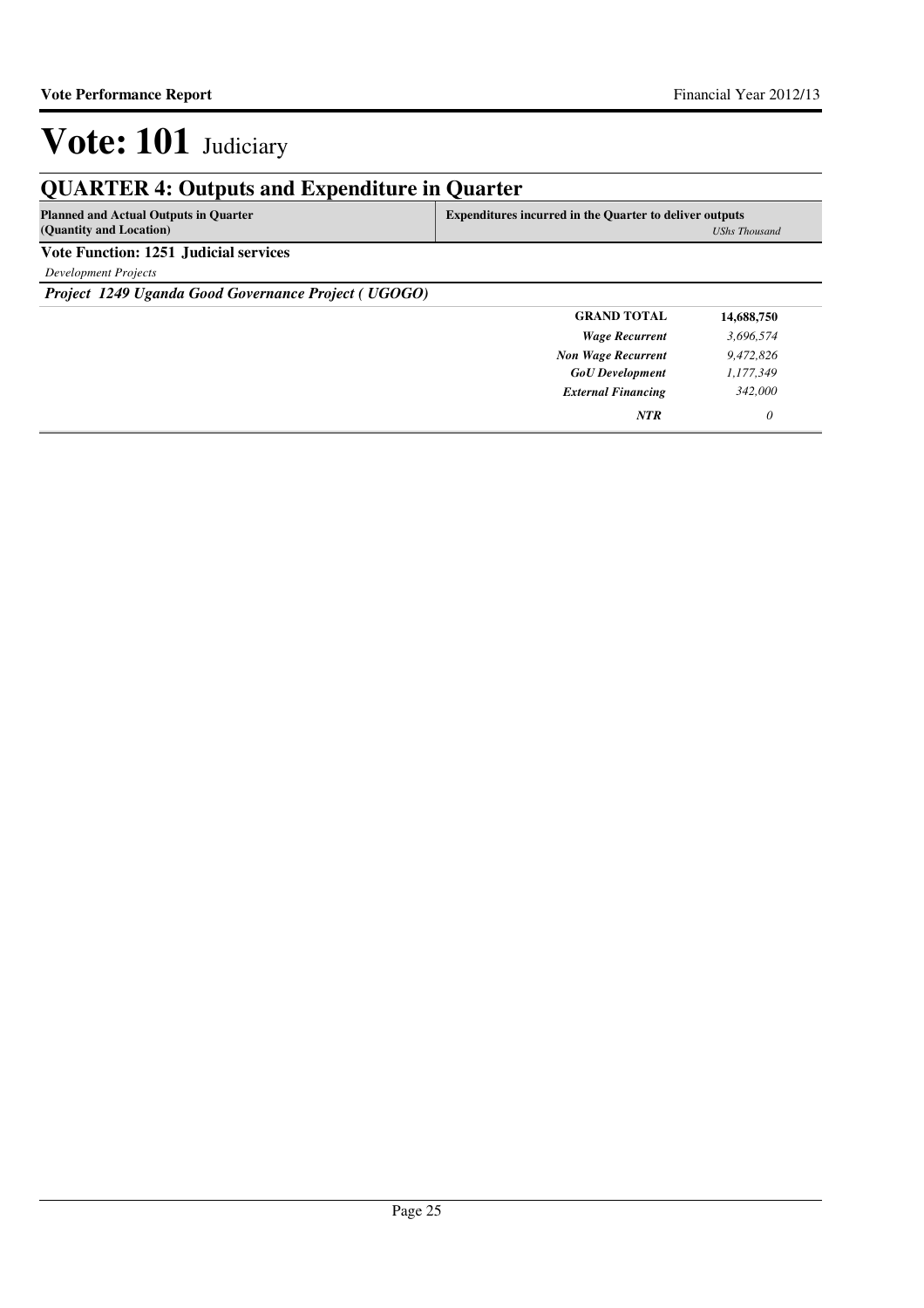## **QUARTER 4: Outputs and Expenditure in Quarter**

| <b>Planned and Actual Outputs in Quarter</b> | <b>Expenditures incurred in the Quarter to deliver outputs</b> |  |
|----------------------------------------------|----------------------------------------------------------------|--|
| (Quantity and Location)                      | UShs Thousand                                                  |  |
| <b>Vote Function: 1251 Judicial services</b> |                                                                |  |

*Development Projects*

*Project 1249 Uganda Good Governance Project ( UGOGO)*

| <b>GRAND TOTAL</b>        | 14,688,750 |
|---------------------------|------------|
| <b>Wage Recurrent</b>     | 3,696,574  |
| <b>Non Wage Recurrent</b> | 9,472,826  |
| <b>GoU</b> Development    | 1,177,349  |
| <b>External Financing</b> | 342,000    |
| <b>NTR</b>                | 0          |